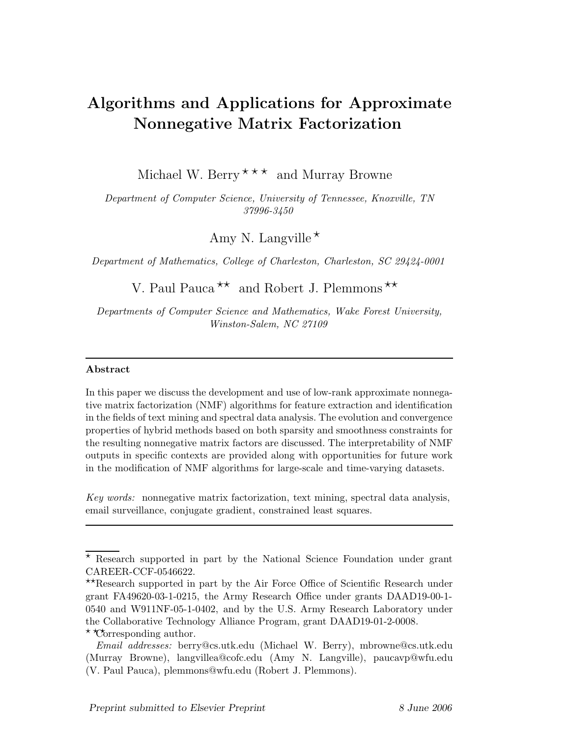# Algorithms and Applications for Approximate Nonnegative Matrix Factorization

Michael W. Berry  $\star \star \star$  and Murray Browne

Department of Computer Science, University of Tennessee, Knoxville, TN 37996-3450

Amy N. Langville  $\star$ 

Department of Mathematics, College of Charleston, Charleston, SC 29424-0001

V. Paul Pauca **<u>\*\*</u>** and Robert J. Plemmons **\*\*** 

Departments of Computer Science and Mathematics, Wake Forest University, Winston-Salem, NC 27109

#### Abstract

In this paper we discuss the development and use of low-rank approximate nonnegative matrix factorization (NMF) algorithms for feature extraction and identification in the fields of text mining and spectral data analysis. The evolution and convergence properties of hybrid methods based on both sparsity and smoothness constraints for the resulting nonnegative matrix factors are discussed. The interpretability of NMF outputs in specific contexts are provided along with opportunities for future work in the modification of NMF algorithms for large-scale and time-varying datasets.

Key words: nonnegative matrix factorization, text mining, spectral data analysis, email surveillance, conjugate gradient, constrained least squares.

 $\star$  Research supported in part by the National Science Foundation under grant CAREER-CCF-0546622.

<sup>⋆⋆</sup>Research supported in part by the Air Force Office of Scientific Research under grant FA49620-03-1-0215, the Army Research Office under grants DAAD19-00-1- 0540 and W911NF-05-1-0402, and by the U.S. Army Research Laboratory under the Collaborative Technology Alliance Program, grant DAAD19-01-2-0008.

 $\star \star \text{Corresponding author.}$ 

Email addresses: berry@cs.utk.edu (Michael W. Berry), mbrowne@cs.utk.edu (Murray Browne), langvillea@cofc.edu (Amy N. Langville), paucavp@wfu.edu (V. Paul Pauca), plemmons@wfu.edu (Robert J. Plemmons).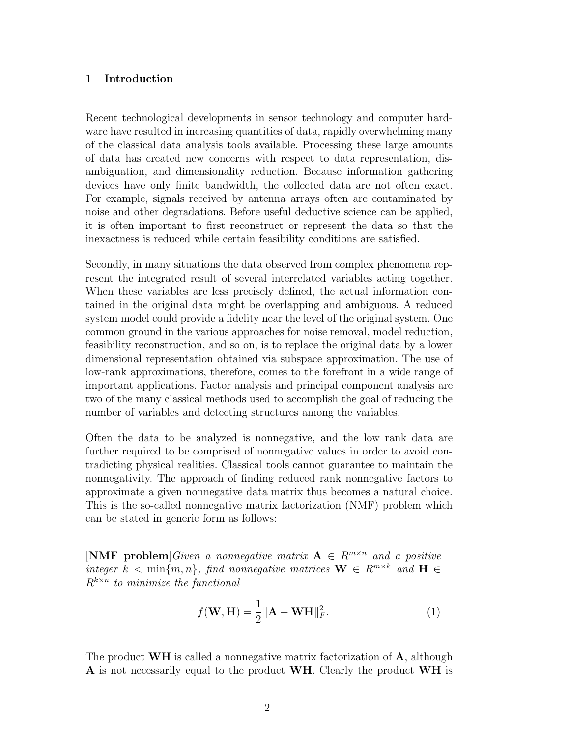## 1 Introduction

Recent technological developments in sensor technology and computer hardware have resulted in increasing quantities of data, rapidly overwhelming many of the classical data analysis tools available. Processing these large amounts of data has created new concerns with respect to data representation, disambiguation, and dimensionality reduction. Because information gathering devices have only finite bandwidth, the collected data are not often exact. For example, signals received by antenna arrays often are contaminated by noise and other degradations. Before useful deductive science can be applied, it is often important to first reconstruct or represent the data so that the inexactness is reduced while certain feasibility conditions are satisfied.

Secondly, in many situations the data observed from complex phenomena represent the integrated result of several interrelated variables acting together. When these variables are less precisely defined, the actual information contained in the original data might be overlapping and ambiguous. A reduced system model could provide a fidelity near the level of the original system. One common ground in the various approaches for noise removal, model reduction, feasibility reconstruction, and so on, is to replace the original data by a lower dimensional representation obtained via subspace approximation. The use of low-rank approximations, therefore, comes to the forefront in a wide range of important applications. Factor analysis and principal component analysis are two of the many classical methods used to accomplish the goal of reducing the number of variables and detecting structures among the variables.

Often the data to be analyzed is nonnegative, and the low rank data are further required to be comprised of nonnegative values in order to avoid contradicting physical realities. Classical tools cannot guarantee to maintain the nonnegativity. The approach of finding reduced rank nonnegative factors to approximate a given nonnegative data matrix thus becomes a natural choice. This is the so-called nonnegative matrix factorization (NMF) problem which can be stated in generic form as follows:

[NMF problem] Given a nonnegative matrix  $A \in R^{m \times n}$  and a positive integer  $k < \min\{m, n\}$ , find nonnegative matrices  $\mathbf{W} \in R^{m \times k}$  and  $\mathbf{H} \in$  $R^{k\times n}$  to minimize the functional

$$
f(\mathbf{W}, \mathbf{H}) = \frac{1}{2} ||\mathbf{A} - \mathbf{W}\mathbf{H}||_F^2.
$$
 (1)

The product **WH** is called a nonnegative matrix factorization of  $\bf{A}$ , although A is not necessarily equal to the product WH. Clearly the product WH is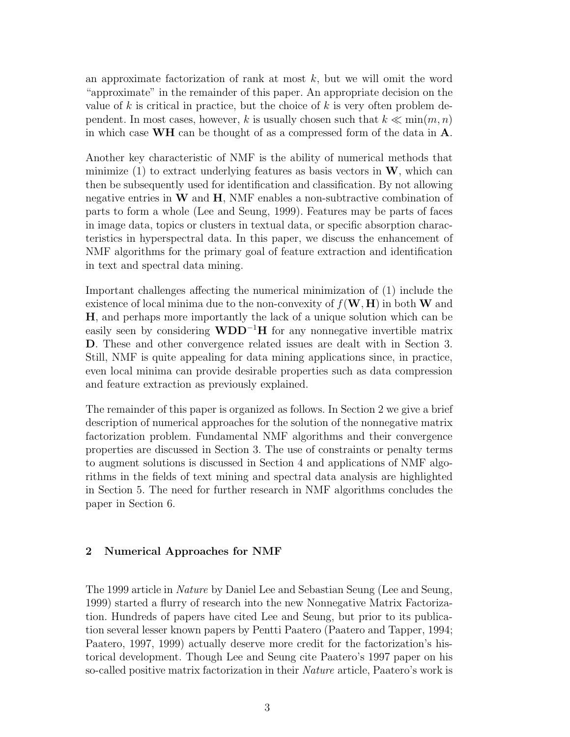an approximate factorization of rank at most  $k$ , but we will omit the word "approximate" in the remainder of this paper. An appropriate decision on the value of k is critical in practice, but the choice of k is very often problem dependent. In most cases, however, k is usually chosen such that  $k \ll \min(m, n)$ in which case WH can be thought of as a compressed form of the data in A.

Another key characteristic of NMF is the ability of numerical methods that minimize  $(1)$  to extract underlying features as basis vectors in W, which can then be subsequently used for identification and classification. By not allowing negative entries in  $W$  and  $H$ , NMF enables a non-subtractive combination of parts to form a whole (Lee and Seung, 1999). Features may be parts of faces in image data, topics or clusters in textual data, or specific absorption characteristics in hyperspectral data. In this paper, we discuss the enhancement of NMF algorithms for the primary goal of feature extraction and identification in text and spectral data mining.

Important challenges affecting the numerical minimization of (1) include the existence of local minima due to the non-convexity of  $f(\mathbf{W}, \mathbf{H})$  in both  $\mathbf{W}$  and H, and perhaps more importantly the lack of a unique solution which can be easily seen by considering  $\text{WDD}^{-1}\text{H}$  for any nonnegative invertible matrix D. These and other convergence related issues are dealt with in Section 3. Still, NMF is quite appealing for data mining applications since, in practice, even local minima can provide desirable properties such as data compression and feature extraction as previously explained.

The remainder of this paper is organized as follows. In Section 2 we give a brief description of numerical approaches for the solution of the nonnegative matrix factorization problem. Fundamental NMF algorithms and their convergence properties are discussed in Section 3. The use of constraints or penalty terms to augment solutions is discussed in Section 4 and applications of NMF algorithms in the fields of text mining and spectral data analysis are highlighted in Section 5. The need for further research in NMF algorithms concludes the paper in Section 6.

#### 2 Numerical Approaches for NMF

The 1999 article in Nature by Daniel Lee and Sebastian Seung (Lee and Seung, 1999) started a flurry of research into the new Nonnegative Matrix Factorization. Hundreds of papers have cited Lee and Seung, but prior to its publication several lesser known papers by Pentti Paatero (Paatero and Tapper, 1994; Paatero, 1997, 1999) actually deserve more credit for the factorization's historical development. Though Lee and Seung cite Paatero's 1997 paper on his so-called positive matrix factorization in their Nature article, Paatero's work is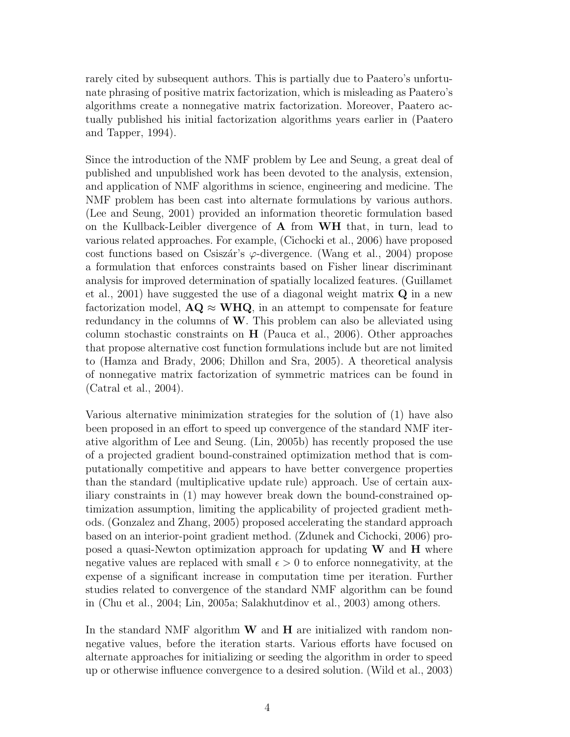rarely cited by subsequent authors. This is partially due to Paatero's unfortunate phrasing of positive matrix factorization, which is misleading as Paatero's algorithms create a nonnegative matrix factorization. Moreover, Paatero actually published his initial factorization algorithms years earlier in (Paatero and Tapper, 1994).

Since the introduction of the NMF problem by Lee and Seung, a great deal of published and unpublished work has been devoted to the analysis, extension, and application of NMF algorithms in science, engineering and medicine. The NMF problem has been cast into alternate formulations by various authors. (Lee and Seung, 2001) provided an information theoretic formulation based on the Kullback-Leibler divergence of  $A$  from  $WH$  that, in turn, lead to various related approaches. For example, (Cichocki et al., 2006) have proposed cost functions based on Csiszár's  $\varphi$ -divergence. (Wang et al., 2004) propose a formulation that enforces constraints based on Fisher linear discriminant analysis for improved determination of spatially localized features. (Guillamet et al., 2001) have suggested the use of a diagonal weight matrix Q in a new factorization model,  $AQ \approx WHQ$ , in an attempt to compensate for feature redundancy in the columns of  $W$ . This problem can also be alleviated using column stochastic constraints on  $H$  (Pauca et al., 2006). Other approaches that propose alternative cost function formulations include but are not limited to (Hamza and Brady, 2006; Dhillon and Sra, 2005). A theoretical analysis of nonnegative matrix factorization of symmetric matrices can be found in (Catral et al., 2004).

Various alternative minimization strategies for the solution of (1) have also been proposed in an effort to speed up convergence of the standard NMF iterative algorithm of Lee and Seung. (Lin, 2005b) has recently proposed the use of a projected gradient bound-constrained optimization method that is computationally competitive and appears to have better convergence properties than the standard (multiplicative update rule) approach. Use of certain auxiliary constraints in (1) may however break down the bound-constrained optimization assumption, limiting the applicability of projected gradient methods. (Gonzalez and Zhang, 2005) proposed accelerating the standard approach based on an interior-point gradient method. (Zdunek and Cichocki, 2006) proposed a quasi-Newton optimization approach for updating W and H where negative values are replaced with small  $\epsilon > 0$  to enforce nonnegativity, at the expense of a significant increase in computation time per iteration. Further studies related to convergence of the standard NMF algorithm can be found in (Chu et al., 2004; Lin, 2005a; Salakhutdinov et al., 2003) among others.

In the standard NMF algorithm  $W$  and  $H$  are initialized with random nonnegative values, before the iteration starts. Various efforts have focused on alternate approaches for initializing or seeding the algorithm in order to speed up or otherwise influence convergence to a desired solution. (Wild et al., 2003)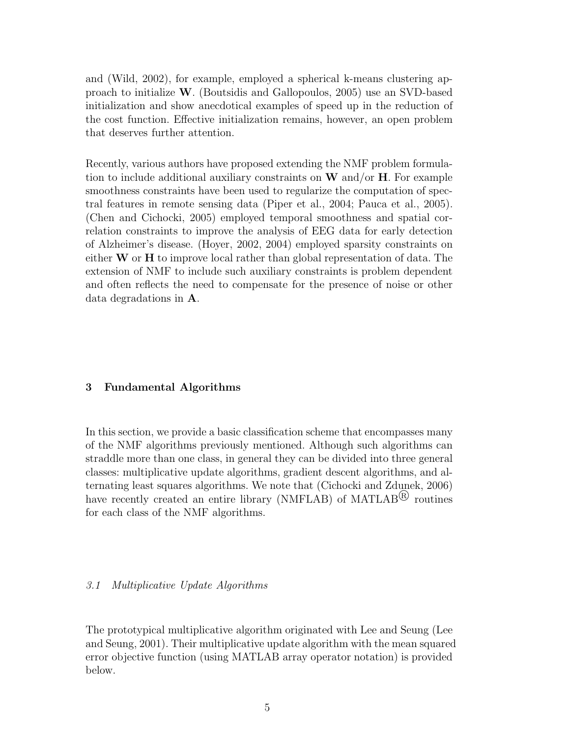and (Wild, 2002), for example, employed a spherical k-means clustering approach to initialize  $W$ . (Boutsidis and Gallopoulos, 2005) use an SVD-based initialization and show anecdotical examples of speed up in the reduction of the cost function. Effective initialization remains, however, an open problem that deserves further attention.

Recently, various authors have proposed extending the NMF problem formulation to include additional auxiliary constraints on  $W$  and/or  $H$ . For example smoothness constraints have been used to regularize the computation of spectral features in remote sensing data (Piper et al., 2004; Pauca et al., 2005). (Chen and Cichocki, 2005) employed temporal smoothness and spatial correlation constraints to improve the analysis of EEG data for early detection of Alzheimer's disease. (Hoyer, 2002, 2004) employed sparsity constraints on either W or H to improve local rather than global representation of data. The extension of NMF to include such auxiliary constraints is problem dependent and often reflects the need to compensate for the presence of noise or other data degradations in A.

#### 3 Fundamental Algorithms

In this section, we provide a basic classification scheme that encompasses many of the NMF algorithms previously mentioned. Although such algorithms can straddle more than one class, in general they can be divided into three general classes: multiplicative update algorithms, gradient descent algorithms, and alternating least squares algorithms. We note that (Cichocki and Zdunek, 2006) have recently created an entire library (NMFLAB) of MATLAB<sup>(R)</sup> routines for each class of the NMF algorithms.

### 3.1 Multiplicative Update Algorithms

The prototypical multiplicative algorithm originated with Lee and Seung (Lee and Seung, 2001). Their multiplicative update algorithm with the mean squared error objective function (using MATLAB array operator notation) is provided below.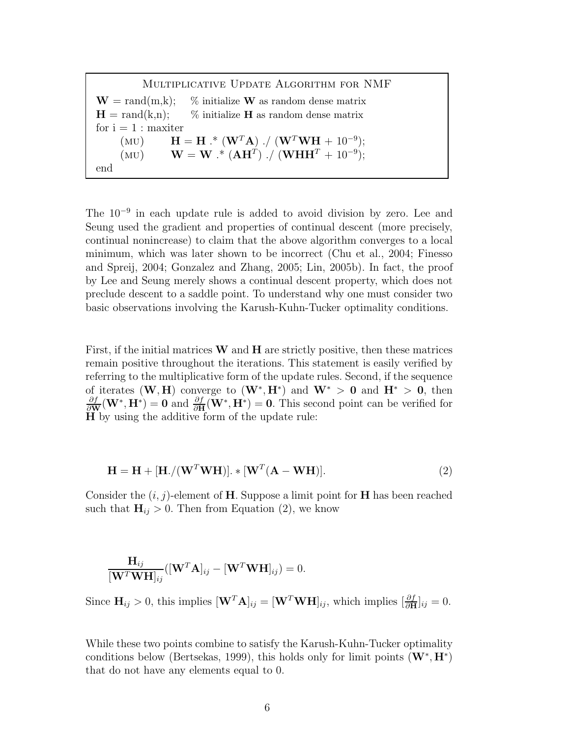Multiplicative Update Algorithm for NMF  $\mathbf{W} = \text{rand}(m,k);$  % initialize **W** as random dense matrix  $H = \text{rand}(k,n);$  % initialize H as random dense matrix for  $i = 1$  : maxiter (MU)  $\mathbf{H} = \mathbf{H}$  .\*  $(\mathbf{W}^T \mathbf{A})$  ./  $(\mathbf{W}^T \mathbf{W} \mathbf{H} + 10^{-9});$ (MU)  $\mathbf{W} = \mathbf{W} \cdot \mathbf{*} (\mathbf{A} \mathbf{H}^T) / (\mathbf{W} \mathbf{H} \mathbf{H}^T + 10^{-9});$ end

The 10<sup>−</sup><sup>9</sup> in each update rule is added to avoid division by zero. Lee and Seung used the gradient and properties of continual descent (more precisely, continual nonincrease) to claim that the above algorithm converges to a local minimum, which was later shown to be incorrect (Chu et al., 2004; Finesso and Spreij, 2004; Gonzalez and Zhang, 2005; Lin, 2005b). In fact, the proof by Lee and Seung merely shows a continual descent property, which does not preclude descent to a saddle point. To understand why one must consider two basic observations involving the Karush-Kuhn-Tucker optimality conditions.

First, if the initial matrices  $\bf{W}$  and  $\bf{H}$  are strictly positive, then these matrices remain positive throughout the iterations. This statement is easily verified by referring to the multiplicative form of the update rules. Second, if the sequence of iterates  $(W, H)$  converge to  $(W^*, H^*)$  and  $W^* > 0$  and  $H^* > 0$ , then  $\frac{\partial f}{\partial \mathbf{W}}(\mathbf{W}^*, \mathbf{H}^*) = \mathbf{0}$  and  $\frac{\partial f}{\partial \mathbf{H}}(\mathbf{W}^*, \mathbf{H}^*) = \mathbf{0}$ . This second point can be verified for H by using the additive form of the update rule:

$$
\mathbf{H} = \mathbf{H} + [\mathbf{H}./(\mathbf{W}^T \mathbf{W} \mathbf{H})] \cdot * [\mathbf{W}^T (\mathbf{A} - \mathbf{W} \mathbf{H})]. \tag{2}
$$

Consider the  $(i, j)$ -element of **H**. Suppose a limit point for **H** has been reached such that  $H_{ij} > 0$ . Then from Equation (2), we know

$$
\frac{\mathbf{H}_{ij}}{[\mathbf{W}^T \mathbf{W} \mathbf{H}]_{ij}}([\mathbf{W}^T \mathbf{A}]_{ij} - [\mathbf{W}^T \mathbf{W} \mathbf{H}]_{ij}) = 0.
$$

Since  $\mathbf{H}_{ij} > 0$ , this implies  $[\mathbf{W}^T \mathbf{A}]_{ij} = [\mathbf{W}^T \mathbf{W} \mathbf{H}]_{ij}$ , which implies  $[\frac{\partial f}{\partial \mathbf{H}}]_{ij} = 0$ .

While these two points combine to satisfy the Karush-Kuhn-Tucker optimality conditions below (Bertsekas, 1999), this holds only for limit points  $(\mathbf{W}^*, \mathbf{H}^*)$ that do not have any elements equal to 0.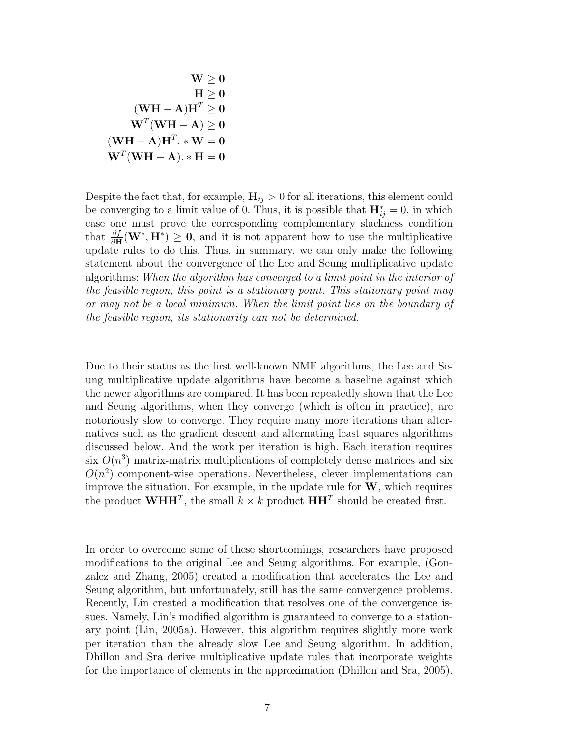$$
\begin{aligned} \mathbf{W} &\geq \mathbf{0} \\ \mathbf{H} &\geq \mathbf{0} \\ (\mathbf{W}\mathbf{H} - \mathbf{A})\mathbf{H}^T &\geq \mathbf{0} \\ \mathbf{W}^T(\mathbf{W}\mathbf{H} - \mathbf{A}) &\geq \mathbf{0} \\ (\mathbf{W}\mathbf{H} - \mathbf{A})\mathbf{H}^T. * \mathbf{W} & = \mathbf{0} \\ \mathbf{W}^T(\mathbf{W}\mathbf{H} - \mathbf{A}). * \mathbf{H} & = \mathbf{0} \end{aligned}
$$

Despite the fact that, for example,  $H_{ij} > 0$  for all iterations, this element could be converging to a limit value of 0. Thus, it is possible that  $\mathbf{H}_{ij}^* = 0$ , in which case one must prove the corresponding complementary slackness condition that  $\frac{\partial f}{\partial \mathbf{H}}(\mathbf{W}^*, \mathbf{H}^*) \geq 0$ , and it is not apparent how to use the multiplicative update rules to do this. Thus, in summary, we can only make the following statement about the convergence of the Lee and Seung multiplicative update algorithms: When the algorithm has converged to a limit point in the interior of the feasible region, this point is a stationary point. This stationary point may or may not be a local minimum. When the limit point lies on the boundary of the feasible region, its stationarity can not be determined.

Due to their status as the first well-known NMF algorithms, the Lee and Seung multiplicative update algorithms have become a baseline against which the newer algorithms are compared. It has been repeatedly shown that the Lee and Seung algorithms, when they converge (which is often in practice), are notoriously slow to converge. They require many more iterations than alternatives such as the gradient descent and alternating least squares algorithms discussed below. And the work per iteration is high. Each iteration requires six  $O(n^3)$  matrix-matrix multiplications of completely dense matrices and six  $O(n^2)$  component-wise operations. Nevertheless, clever implementations can improve the situation. For example, in the update rule for  $W$ , which requires the product  $\mathbf{WHH}^T$ , the small  $k \times k$  product  $\mathbf{HH}^T$  should be created first.

In order to overcome some of these shortcomings, researchers have proposed modifications to the original Lee and Seung algorithms. For example, (Gonzalez and Zhang, 2005) created a modification that accelerates the Lee and Seung algorithm, but unfortunately, still has the same convergence problems. Recently, Lin created a modification that resolves one of the convergence issues. Namely, Lin's modified algorithm is guaranteed to converge to a stationary point (Lin, 2005a). However, this algorithm requires slightly more work per iteration than the already slow Lee and Seung algorithm. In addition, Dhillon and Sra derive multiplicative update rules that incorporate weights for the importance of elements in the approximation (Dhillon and Sra, 2005).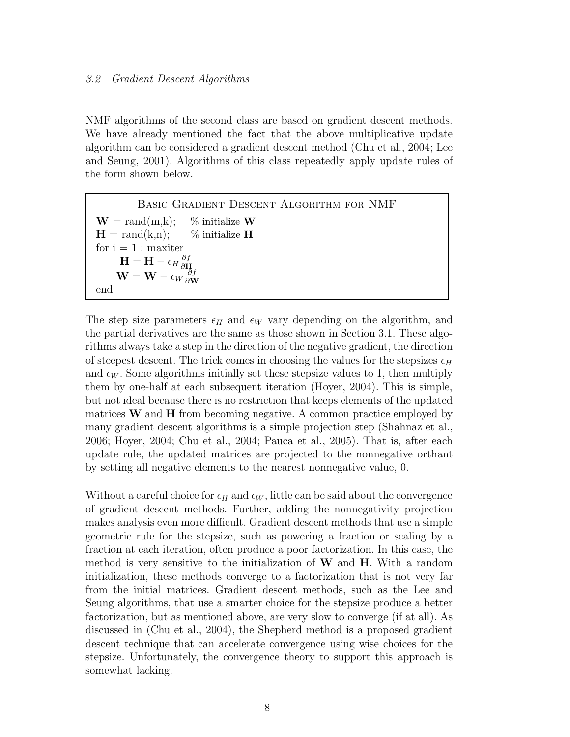#### 3.2 Gradient Descent Algorithms

NMF algorithms of the second class are based on gradient descent methods. We have already mentioned the fact that the above multiplicative update algorithm can be considered a gradient descent method (Chu et al., 2004; Lee and Seung, 2001). Algorithms of this class repeatedly apply update rules of the form shown below.

Basic Gradient Descent Algorithm for NMF  $\mathbf{W} = \text{rand}(m,k);$  % initialize **W**  $H = \text{rand}(k,n);$  % initialize H for  $i = 1$ : maxiter  $\mathbf{H} = \mathbf{H} - \epsilon_H \frac{\partial f}{\partial \mathbf{H}}$  $\mathbf{W} = \mathbf{W} - \epsilon_W \frac{\partial f}{\partial \mathbf{W}}$ end

The step size parameters  $\epsilon_H$  and  $\epsilon_W$  vary depending on the algorithm, and the partial derivatives are the same as those shown in Section 3.1. These algorithms always take a step in the direction of the negative gradient, the direction of steepest descent. The trick comes in choosing the values for the stepsizes  $\epsilon_H$ and  $\epsilon_W$ . Some algorithms initially set these stepsize values to 1, then multiply them by one-half at each subsequent iteration (Hoyer, 2004). This is simple, but not ideal because there is no restriction that keeps elements of the updated matrices W and H from becoming negative. A common practice employed by many gradient descent algorithms is a simple projection step (Shahnaz et al., 2006; Hoyer, 2004; Chu et al., 2004; Pauca et al., 2005). That is, after each update rule, the updated matrices are projected to the nonnegative orthant by setting all negative elements to the nearest nonnegative value, 0.

Without a careful choice for  $\epsilon_H$  and  $\epsilon_W$ , little can be said about the convergence of gradient descent methods. Further, adding the nonnegativity projection makes analysis even more difficult. Gradient descent methods that use a simple geometric rule for the stepsize, such as powering a fraction or scaling by a fraction at each iteration, often produce a poor factorization. In this case, the method is very sensitive to the initialization of  $W$  and  $H$ . With a random initialization, these methods converge to a factorization that is not very far from the initial matrices. Gradient descent methods, such as the Lee and Seung algorithms, that use a smarter choice for the stepsize produce a better factorization, but as mentioned above, are very slow to converge (if at all). As discussed in (Chu et al., 2004), the Shepherd method is a proposed gradient descent technique that can accelerate convergence using wise choices for the stepsize. Unfortunately, the convergence theory to support this approach is somewhat lacking.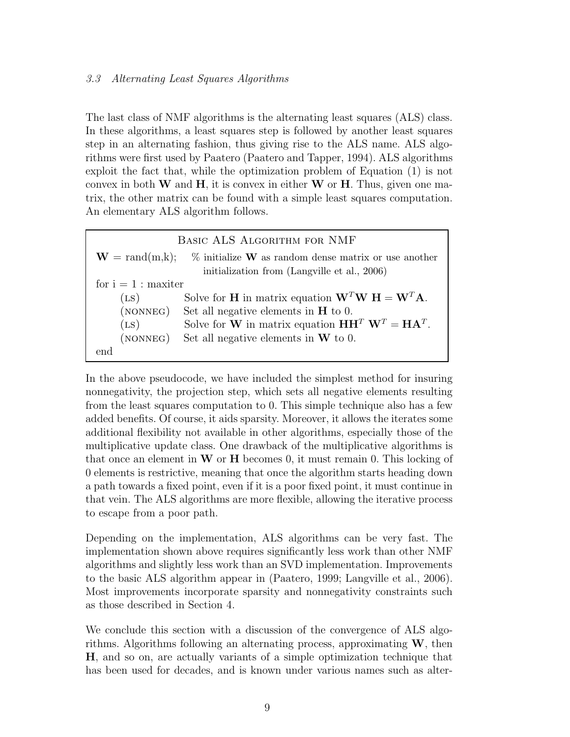#### 3.3 Alternating Least Squares Algorithms

The last class of NMF algorithms is the alternating least squares (ALS) class. In these algorithms, a least squares step is followed by another least squares step in an alternating fashion, thus giving rise to the ALS name. ALS algorithms were first used by Paatero (Paatero and Tapper, 1994). ALS algorithms exploit the fact that, while the optimization problem of Equation (1) is not convex in both  $W$  and  $H$ , it is convex in either  $W$  or  $H$ . Thus, given one matrix, the other matrix can be found with a simple least squares computation. An elementary ALS algorithm follows.

## Basic ALS Algorithm for NMF

| $W = \text{rand}(m,k);$ | $\%$ initialize <b>W</b> as random dense matrix or use another |
|-------------------------|----------------------------------------------------------------|
|                         | initialization from (Langville et al., 2006)                   |
| for $i = 1$ : maxiter   |                                                                |
| (LS)                    | Solve for <b>H</b> in matrix equation $W^T W H = W^T A$ .      |
|                         | (NONNEG) Set all negative elements in $H$ to 0.                |
| (LS)                    | Solve for <b>W</b> in matrix equation $HH^T W^T = HA^T$ .      |
|                         | (NONNEG) Set all negative elements in $W$ to 0.                |
| end                     |                                                                |

In the above pseudocode, we have included the simplest method for insuring nonnegativity, the projection step, which sets all negative elements resulting from the least squares computation to 0. This simple technique also has a few added benefits. Of course, it aids sparsity. Moreover, it allows the iterates some additional flexibility not available in other algorithms, especially those of the multiplicative update class. One drawback of the multiplicative algorithms is that once an element in  $W$  or  $H$  becomes 0, it must remain 0. This locking of 0 elements is restrictive, meaning that once the algorithm starts heading down a path towards a fixed point, even if it is a poor fixed point, it must continue in that vein. The ALS algorithms are more flexible, allowing the iterative process to escape from a poor path.

Depending on the implementation, ALS algorithms can be very fast. The implementation shown above requires significantly less work than other NMF algorithms and slightly less work than an SVD implementation. Improvements to the basic ALS algorithm appear in (Paatero, 1999; Langville et al., 2006). Most improvements incorporate sparsity and nonnegativity constraints such as those described in Section 4.

We conclude this section with a discussion of the convergence of ALS algorithms. Algorithms following an alternating process, approximating  $W$ , then H, and so on, are actually variants of a simple optimization technique that has been used for decades, and is known under various names such as alter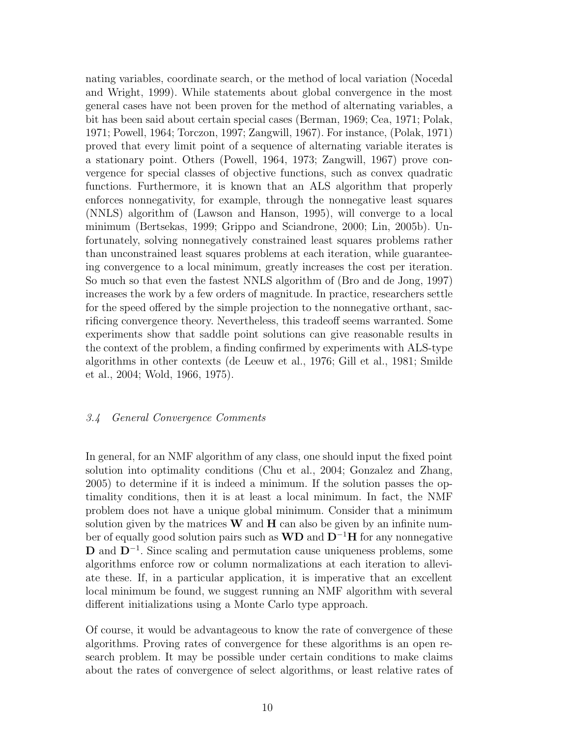nating variables, coordinate search, or the method of local variation (Nocedal and Wright, 1999). While statements about global convergence in the most general cases have not been proven for the method of alternating variables, a bit has been said about certain special cases (Berman, 1969; Cea, 1971; Polak, 1971; Powell, 1964; Torczon, 1997; Zangwill, 1967). For instance, (Polak, 1971) proved that every limit point of a sequence of alternating variable iterates is a stationary point. Others (Powell, 1964, 1973; Zangwill, 1967) prove convergence for special classes of objective functions, such as convex quadratic functions. Furthermore, it is known that an ALS algorithm that properly enforces nonnegativity, for example, through the nonnegative least squares (NNLS) algorithm of (Lawson and Hanson, 1995), will converge to a local minimum (Bertsekas, 1999; Grippo and Sciandrone, 2000; Lin, 2005b). Unfortunately, solving nonnegatively constrained least squares problems rather than unconstrained least squares problems at each iteration, while guaranteeing convergence to a local minimum, greatly increases the cost per iteration. So much so that even the fastest NNLS algorithm of (Bro and de Jong, 1997) increases the work by a few orders of magnitude. In practice, researchers settle for the speed offered by the simple projection to the nonnegative orthant, sacrificing convergence theory. Nevertheless, this tradeoff seems warranted. Some experiments show that saddle point solutions can give reasonable results in the context of the problem, a finding confirmed by experiments with ALS-type algorithms in other contexts (de Leeuw et al., 1976; Gill et al., 1981; Smilde et al., 2004; Wold, 1966, 1975).

#### 3.4 General Convergence Comments

In general, for an NMF algorithm of any class, one should input the fixed point solution into optimality conditions (Chu et al., 2004; Gonzalez and Zhang, 2005) to determine if it is indeed a minimum. If the solution passes the optimality conditions, then it is at least a local minimum. In fact, the NMF problem does not have a unique global minimum. Consider that a minimum solution given by the matrices  $W$  and  $H$  can also be given by an infinite number of equally good solution pairs such as  $\mathbf{WD}$  and  $\mathbf{D}^{-1}\mathbf{H}$  for any nonnegative  $\mathbf{D}$  and  $\mathbf{D}^{-1}$ . Since scaling and permutation cause uniqueness problems, some algorithms enforce row or column normalizations at each iteration to alleviate these. If, in a particular application, it is imperative that an excellent local minimum be found, we suggest running an NMF algorithm with several different initializations using a Monte Carlo type approach.

Of course, it would be advantageous to know the rate of convergence of these algorithms. Proving rates of convergence for these algorithms is an open research problem. It may be possible under certain conditions to make claims about the rates of convergence of select algorithms, or least relative rates of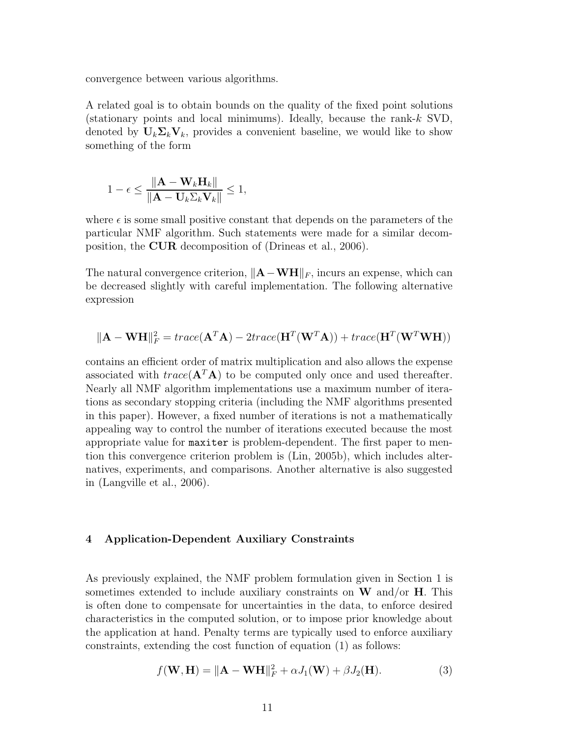convergence between various algorithms.

A related goal is to obtain bounds on the quality of the fixed point solutions (stationary points and local minimums). Ideally, because the rank- $k$  SVD, denoted by  $U_k \Sigma_k V_k$ , provides a convenient baseline, we would like to show something of the form

$$
1 - \epsilon \le \frac{\|\mathbf{A} - \mathbf{W}_k \mathbf{H}_k\|}{\|\mathbf{A} - \mathbf{U}_k \Sigma_k \mathbf{V}_k\|} \le 1,
$$

where  $\epsilon$  is some small positive constant that depends on the parameters of the particular NMF algorithm. Such statements were made for a similar decomposition, the CUR decomposition of (Drineas et al., 2006).

The natural convergence criterion,  $||\mathbf{A}-\mathbf{WH}||_F$ , incurs an expense, which can be decreased slightly with careful implementation. The following alternative expression

$$
\|\mathbf{A} - \mathbf{W}\mathbf{H}\|_F^2 = trace(\mathbf{A}^T\mathbf{A}) - 2trace(\mathbf{H}^T(\mathbf{W}^T\mathbf{A})) + trace(\mathbf{H}^T(\mathbf{W}^T\mathbf{W}\mathbf{H}))
$$

contains an efficient order of matrix multiplication and also allows the expense associated with  $trace(\mathbf{A}^T\mathbf{A})$  to be computed only once and used thereafter. Nearly all NMF algorithm implementations use a maximum number of iterations as secondary stopping criteria (including the NMF algorithms presented in this paper). However, a fixed number of iterations is not a mathematically appealing way to control the number of iterations executed because the most appropriate value for maxiter is problem-dependent. The first paper to mention this convergence criterion problem is (Lin, 2005b), which includes alternatives, experiments, and comparisons. Another alternative is also suggested in (Langville et al., 2006).

### 4 Application-Dependent Auxiliary Constraints

As previously explained, the NMF problem formulation given in Section 1 is sometimes extended to include auxiliary constraints on  $W$  and/or  $H$ . This is often done to compensate for uncertainties in the data, to enforce desired characteristics in the computed solution, or to impose prior knowledge about the application at hand. Penalty terms are typically used to enforce auxiliary constraints, extending the cost function of equation (1) as follows:

$$
f(\mathbf{W}, \mathbf{H}) = \|\mathbf{A} - \mathbf{W}\mathbf{H}\|_{F}^{2} + \alpha J_{1}(\mathbf{W}) + \beta J_{2}(\mathbf{H}).
$$
\n(3)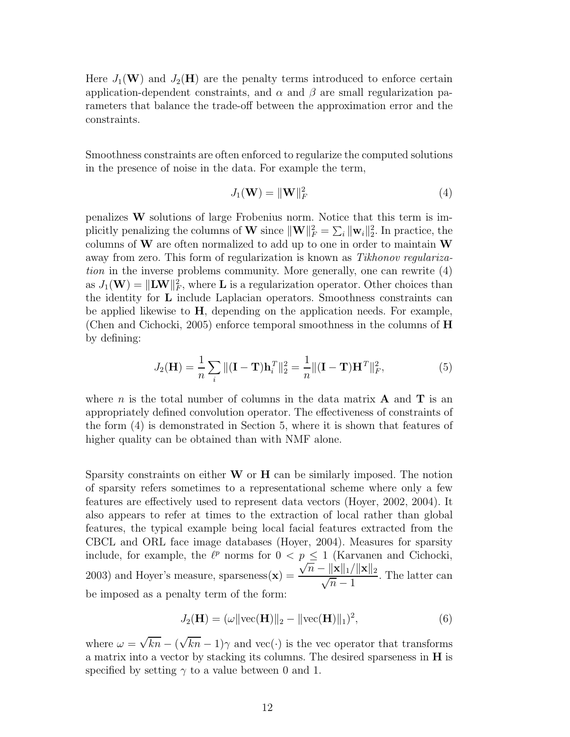Here  $J_1(\mathbf{W})$  and  $J_2(\mathbf{H})$  are the penalty terms introduced to enforce certain application-dependent constraints, and  $\alpha$  and  $\beta$  are small regularization parameters that balance the trade-off between the approximation error and the constraints.

Smoothness constraints are often enforced to regularize the computed solutions in the presence of noise in the data. For example the term,

$$
J_1(\mathbf{W}) = \|\mathbf{W}\|_F^2 \tag{4}
$$

penalizes W solutions of large Frobenius norm. Notice that this term is implicitly penalizing the columns of **W** since  $\|\mathbf{W}\|_F^2 = \sum_i \|\mathbf{w}_i\|_2^2$ . In practice, the columns of  $W$  are often normalized to add up to one in order to maintain  $W$ away from zero. This form of regularization is known as Tikhonov regularization in the inverse problems community. More generally, one can rewrite (4) as  $J_1(\mathbf{W}) = \|\mathbf{L}\mathbf{W}\|_F^2$ , where **L** is a regularization operator. Other choices than the identity for L include Laplacian operators. Smoothness constraints can be applied likewise to  $H$ , depending on the application needs. For example, (Chen and Cichocki, 2005) enforce temporal smoothness in the columns of H by defining:

$$
J_2(\mathbf{H}) = \frac{1}{n} \sum_{i} ||(\mathbf{I} - \mathbf{T})\mathbf{h}_i^T||_2^2 = \frac{1}{n} ||(\mathbf{I} - \mathbf{T})\mathbf{H}^T||_F^2,
$$
(5)

where n is the total number of columns in the data matrix  $\bf{A}$  and  $\bf{T}$  is an appropriately defined convolution operator. The effectiveness of constraints of the form (4) is demonstrated in Section 5, where it is shown that features of higher quality can be obtained than with NMF alone.

Sparsity constraints on either  $W$  or  $H$  can be similarly imposed. The notion of sparsity refers sometimes to a representational scheme where only a few features are effectively used to represent data vectors (Hoyer, 2002, 2004). It also appears to refer at times to the extraction of local rather than global features, the typical example being local facial features extracted from the CBCL and ORL face image databases (Hoyer, 2004). Measures for sparsity include, for example, the  $\ell^p$  norms for  $0 < p \leq 1$  (Karvanen and Cichocki,  $2003$ ) and Hoyer's measure, sparseness $(\mathbf{x}) =$  $\frac{1}{\sqrt{n}} - \frac{\|\mathbf{x}\|_1}{\|\mathbf{x}\|_2}$ <br> $\frac{1}{\sqrt{n}} - 1$ . The latter can be imposed as a penalty term of the form:

$$
J_2(\mathbf{H}) = (\omega \|\text{vec}(\mathbf{H})\|_2 - \|\text{vec}(\mathbf{H})\|_1)^2,
$$
(6)

where  $\omega = \sqrt{kn} - (\sqrt{kn} - 1)\gamma$  and vec(·) is the vec operator that transforms a matrix into a vector by stacking its columns. The desired sparseness in H is specified by setting  $\gamma$  to a value between 0 and 1.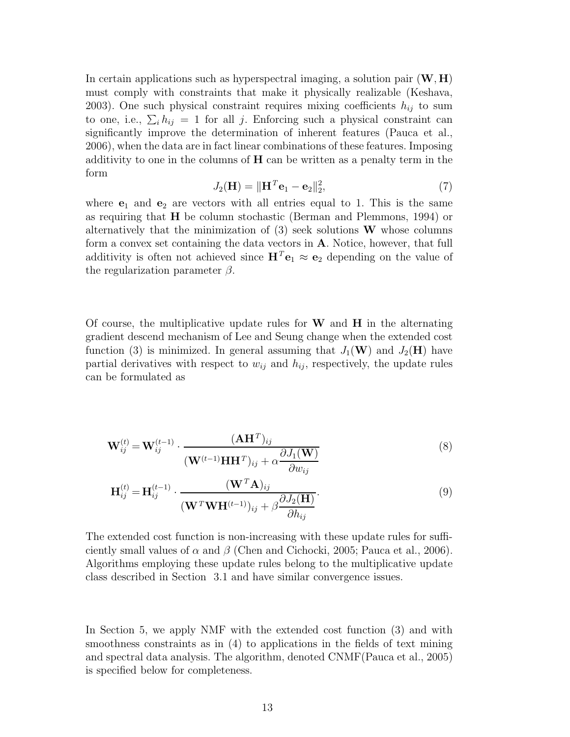In certain applications such as hyperspectral imaging, a solution pair  $(W, H)$ must comply with constraints that make it physically realizable (Keshava, 2003). One such physical constraint requires mixing coefficients  $h_{ij}$  to sum to one, i.e.,  $\sum_i h_{ij} = 1$  for all j. Enforcing such a physical constraint can significantly improve the determination of inherent features (Pauca et al., 2006), when the data are in fact linear combinations of these features. Imposing additivity to one in the columns of H can be written as a penalty term in the form

$$
J_2(\mathbf{H}) = \|\mathbf{H}^T \mathbf{e}_1 - \mathbf{e}_2\|_2^2, \tag{7}
$$

where  $e_1$  and  $e_2$  are vectors with all entries equal to 1. This is the same as requiring that  $H$  be column stochastic (Berman and Plemmons, 1994) or alternatively that the minimization of  $(3)$  seek solutions **W** whose columns form a convex set containing the data vectors in A. Notice, however, that full additivity is often not achieved since  $\mathbf{H}^T\mathbf{e}_1 \approx \mathbf{e}_2$  depending on the value of the regularization parameter  $\beta$ .

Of course, the multiplicative update rules for  $W$  and  $H$  in the alternating gradient descend mechanism of Lee and Seung change when the extended cost function (3) is minimized. In general assuming that  $J_1(\mathbf{W})$  and  $J_2(\mathbf{H})$  have partial derivatives with respect to  $w_{ij}$  and  $h_{ij}$ , respectively, the update rules can be formulated as

$$
\mathbf{W}_{ij}^{(t)} = \mathbf{W}_{ij}^{(t-1)} \cdot \frac{(\mathbf{A}\mathbf{H}^T)_{ij}}{(\mathbf{W}^{(t-1)}\mathbf{H}\mathbf{H}^T)_{ij} + \alpha \frac{\partial J_1(\mathbf{W})}{\partial w_{ij}}}
$$
(8)

$$
\mathbf{H}_{ij}^{(t)} = \mathbf{H}_{ij}^{(t-1)} \cdot \frac{(\mathbf{W}^T \mathbf{A})_{ij}}{(\mathbf{W}^T \mathbf{W} \mathbf{H}^{(t-1)})_{ij} + \beta \frac{\partial J_2(\mathbf{H})}{\partial h_{ij}}}. \tag{9}
$$

The extended cost function is non-increasing with these update rules for sufficiently small values of  $\alpha$  and  $\beta$  (Chen and Cichocki, 2005; Pauca et al., 2006). Algorithms employing these update rules belong to the multiplicative update class described in Section 3.1 and have similar convergence issues.

In Section 5, we apply NMF with the extended cost function (3) and with smoothness constraints as in (4) to applications in the fields of text mining and spectral data analysis. The algorithm, denoted CNMF(Pauca et al., 2005) is specified below for completeness.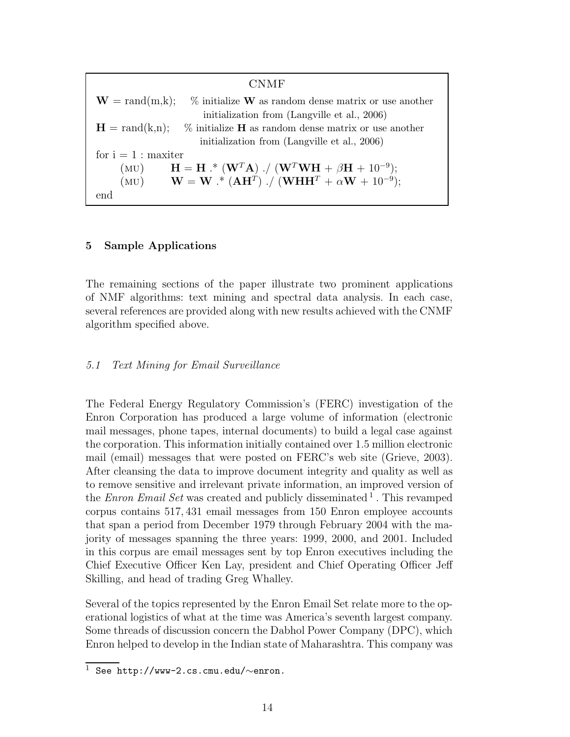CNMF  $W = \text{rand}(m, k);$  % initialize W as random dense matrix or use another initialization from (Langville et al., 2006)  $H = \text{rand}(k,n);$  % initialize H as random dense matrix or use another initialization from (Langville et al., 2006) for  $i = 1$  : maxiter (MU)  $H = H^{*}(W^{T}A) / (W^{T}WH + \beta H + 10^{-9});$ (MU)  $\mathbf{W} = \mathbf{W}^* (\mathbf{A} \mathbf{H}^T)$  ./  $(\mathbf{W} \mathbf{H} \mathbf{H}^T + \alpha \mathbf{W} + 10^{-9});$ end

# 5 Sample Applications

The remaining sections of the paper illustrate two prominent applications of NMF algorithms: text mining and spectral data analysis. In each case, several references are provided along with new results achieved with the CNMF algorithm specified above.

## 5.1 Text Mining for Email Surveillance

The Federal Energy Regulatory Commission's (FERC) investigation of the Enron Corporation has produced a large volume of information (electronic mail messages, phone tapes, internal documents) to build a legal case against the corporation. This information initially contained over 1.5 million electronic mail (email) messages that were posted on FERC's web site (Grieve, 2003). After cleansing the data to improve document integrity and quality as well as to remove sensitive and irrelevant private information, an improved version of the *Enron Email Set* was created and publicly disseminated  $\frac{1}{1}$ . This revamped corpus contains 517, 431 email messages from 150 Enron employee accounts that span a period from December 1979 through February 2004 with the majority of messages spanning the three years: 1999, 2000, and 2001. Included in this corpus are email messages sent by top Enron executives including the Chief Executive Officer Ken Lay, president and Chief Operating Officer Jeff Skilling, and head of trading Greg Whalley.

Several of the topics represented by the Enron Email Set relate more to the operational logistics of what at the time was America's seventh largest company. Some threads of discussion concern the Dabhol Power Company (DPC), which Enron helped to develop in the Indian state of Maharashtra. This company was

<sup>1</sup> See http://www-2.cs.cmu.edu/∼enron.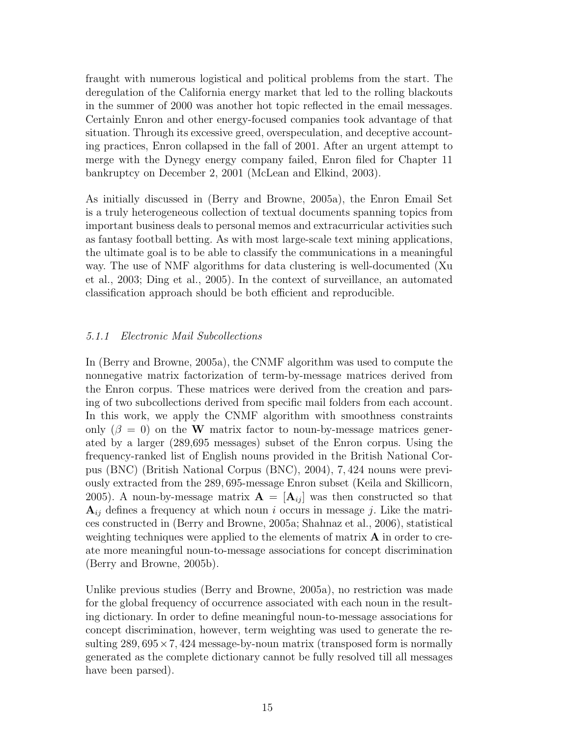fraught with numerous logistical and political problems from the start. The deregulation of the California energy market that led to the rolling blackouts in the summer of 2000 was another hot topic reflected in the email messages. Certainly Enron and other energy-focused companies took advantage of that situation. Through its excessive greed, overspeculation, and deceptive accounting practices, Enron collapsed in the fall of 2001. After an urgent attempt to merge with the Dynegy energy company failed, Enron filed for Chapter 11 bankruptcy on December 2, 2001 (McLean and Elkind, 2003).

As initially discussed in (Berry and Browne, 2005a), the Enron Email Set is a truly heterogeneous collection of textual documents spanning topics from important business deals to personal memos and extracurricular activities such as fantasy football betting. As with most large-scale text mining applications, the ultimate goal is to be able to classify the communications in a meaningful way. The use of NMF algorithms for data clustering is well-documented (Xu et al., 2003; Ding et al., 2005). In the context of surveillance, an automated classification approach should be both efficient and reproducible.

#### 5.1.1 Electronic Mail Subcollections

In (Berry and Browne, 2005a), the CNMF algorithm was used to compute the nonnegative matrix factorization of term-by-message matrices derived from the Enron corpus. These matrices were derived from the creation and parsing of two subcollections derived from specific mail folders from each account. In this work, we apply the CNMF algorithm with smoothness constraints only  $(\beta = 0)$  on the W matrix factor to noun-by-message matrices generated by a larger (289,695 messages) subset of the Enron corpus. Using the frequency-ranked list of English nouns provided in the British National Corpus (BNC) (British National Corpus (BNC), 2004), 7, 424 nouns were previously extracted from the 289, 695-message Enron subset (Keila and Skillicorn, 2005). A noun-by-message matrix  $\mathbf{A} = [\mathbf{A}_{ij}]$  was then constructed so that  $A_{ij}$  defines a frequency at which noun i occurs in message j. Like the matrices constructed in (Berry and Browne, 2005a; Shahnaz et al., 2006), statistical weighting techniques were applied to the elements of matrix  $\bf{A}$  in order to create more meaningful noun-to-message associations for concept discrimination (Berry and Browne, 2005b).

Unlike previous studies (Berry and Browne, 2005a), no restriction was made for the global frequency of occurrence associated with each noun in the resulting dictionary. In order to define meaningful noun-to-message associations for concept discrimination, however, term weighting was used to generate the resulting  $289,695\times7,424$  message-by-noun matrix (transposed form is normally generated as the complete dictionary cannot be fully resolved till all messages have been parsed).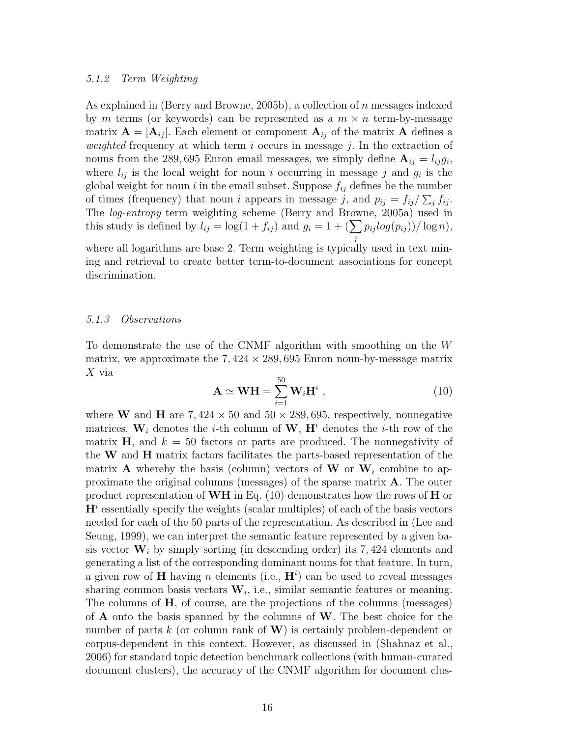#### 5.1.2 Term Weighting

As explained in (Berry and Browne, 2005b), a collection of n messages indexed by m terms (or keywords) can be represented as a  $m \times n$  term-by-message matrix  $\mathbf{A} = [\mathbf{A}_{ij}]$ . Each element or component  $\mathbf{A}_{ij}$  of the matrix  $\mathbf{A}$  defines a *weighted* frequency at which term i occurs in message j. In the extraction of nouns from the 289, 695 Enron email messages, we simply define  $A_{ij} = l_{ij}g_i$ , where  $l_{ij}$  is the local weight for noun i occurring in message j and  $g_i$  is the global weight for noun i in the email subset. Suppose  $f_{ij}$  defines be the number of times (frequency) that noun *i* appears in message *j*, and  $p_{ij} = f_{ij}/\sum_j f_{ij}$ . The log-entropy term weighting scheme (Berry and Browne, 2005a) used in this study is defined by  $l_{ij} = \log(1 + f_{ij})$  and  $g_i = 1 + (\sum$ j  $p_{ij}log(p_{ij}))/\log n,$ 

where all logarithms are base 2. Term weighting is typically used in text mining and retrieval to create better term-to-document associations for concept discrimination.

#### 5.1.3 Observations

To demonstrate the use of the CNMF algorithm with smoothing on the W matrix, we approximate the  $7,424 \times 289,695$  Enron noun-by-message matrix  $X$  via

$$
\mathbf{A} \simeq \mathbf{W} \mathbf{H} = \sum_{i=1}^{50} \mathbf{W}_i \mathbf{H}^i , \qquad (10)
$$

where **W** and **H** are  $7,424 \times 50$  and  $50 \times 289,695$ , respectively, nonnegative matrices.  $W_i$  denotes the *i*-th column of  $W$ ,  $H<sup>i</sup>$  denotes the *i*-th row of the matrix  $H$ , and  $k = 50$  factors or parts are produced. The nonnegativity of the W and H matrix factors facilitates the parts-based representation of the matrix **A** whereby the basis (column) vectors of **W** or  $W_i$  combine to approximate the original columns (messages) of the sparse matrix A. The outer product representation of  $WH$  in Eq. (10) demonstrates how the rows of  $H$  or  $\mathbf{H}^i$  essentially specify the weights (scalar multiples) of each of the basis vectors needed for each of the 50 parts of the representation. As described in (Lee and Seung, 1999), we can interpret the semantic feature represented by a given basis vector  $\mathbf{W}_i$  by simply sorting (in descending order) its 7,424 elements and generating a list of the corresponding dominant nouns for that feature. In turn, a given row of **H** having *n* elements (i.e.,  $\mathbf{H}^i$ ) can be used to reveal messages sharing common basis vectors  $W_i$ , i.e., similar semantic features or meaning. The columns of H, of course, are the projections of the columns (messages) of  $\bf{A}$  onto the basis spanned by the columns of  $\bf{W}$ . The best choice for the number of parts k (or column rank of  $W$ ) is certainly problem-dependent or corpus-dependent in this context. However, as discussed in (Shahnaz et al., 2006) for standard topic detection benchmark collections (with human-curated document clusters), the accuracy of the CNMF algorithm for document clus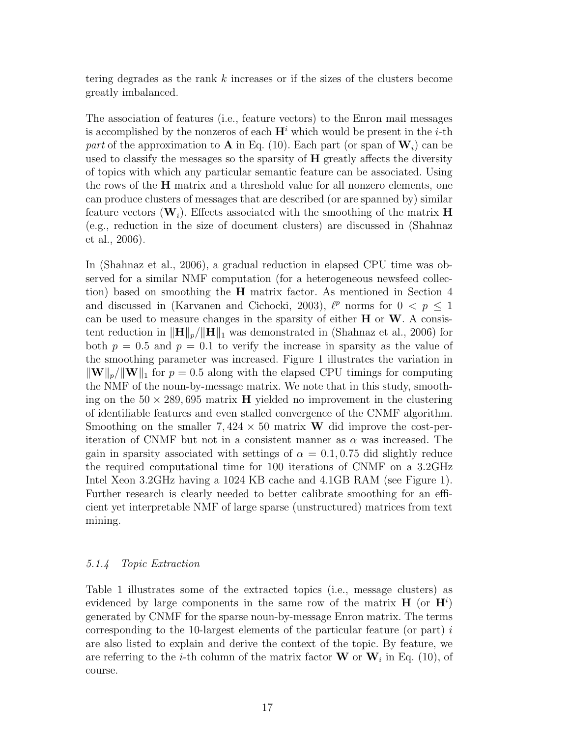tering degrades as the rank k increases or if the sizes of the clusters become greatly imbalanced.

The association of features (i.e., feature vectors) to the Enron mail messages is accomplished by the nonzeros of each  $\mathbf{H}^i$  which would be present in the *i*-th part of the approximation to **A** in Eq. (10). Each part (or span of  $W_i$ ) can be used to classify the messages so the sparsity of  $H$  greatly affects the diversity of topics with which any particular semantic feature can be associated. Using the rows of the H matrix and a threshold value for all nonzero elements, one can produce clusters of messages that are described (or are spanned by) similar feature vectors  $(\mathbf{W}_i)$ . Effects associated with the smoothing of the matrix **H** (e.g., reduction in the size of document clusters) are discussed in (Shahnaz et al., 2006).

In (Shahnaz et al., 2006), a gradual reduction in elapsed CPU time was observed for a similar NMF computation (for a heterogeneous newsfeed collection) based on smoothing the H matrix factor. As mentioned in Section 4 and discussed in (Karvanen and Cichocki, 2003),  $\ell^p$  norms for  $0 \le p \le 1$ can be used to measure changes in the sparsity of either  $H$  or  $W$ . A consistent reduction in  $\|\mathbf{H}\|_p/\|\mathbf{H}\|_1$  was demonstrated in (Shahnaz et al., 2006) for both  $p = 0.5$  and  $p = 0.1$  to verify the increase in sparsity as the value of the smoothing parameter was increased. Figure 1 illustrates the variation in  $\|\mathbf{W}\|_p/\|\mathbf{W}\|_1$  for  $p = 0.5$  along with the elapsed CPU timings for computing the NMF of the noun-by-message matrix. We note that in this study, smoothing on the  $50 \times 289,695$  matrix **H** yielded no improvement in the clustering of identifiable features and even stalled convergence of the CNMF algorithm. Smoothing on the smaller  $7,424 \times 50$  matrix W did improve the cost-periteration of CNMF but not in a consistent manner as  $\alpha$  was increased. The gain in sparsity associated with settings of  $\alpha = 0.1, 0.75$  did slightly reduce the required computational time for 100 iterations of CNMF on a 3.2GHz Intel Xeon 3.2GHz having a 1024 KB cache and 4.1GB RAM (see Figure 1). Further research is clearly needed to better calibrate smoothing for an efficient yet interpretable NMF of large sparse (unstructured) matrices from text mining.

#### 5.1.4 Topic Extraction

Table 1 illustrates some of the extracted topics (i.e., message clusters) as evidenced by large components in the same row of the matrix  $H$  (or  $H<sup>i</sup>$ ) generated by CNMF for the sparse noun-by-message Enron matrix. The terms corresponding to the 10-largest elements of the particular feature (or part) i are also listed to explain and derive the context of the topic. By feature, we are referring to the *i*-th column of the matrix factor **W** or  $W_i$  in Eq. (10), of course.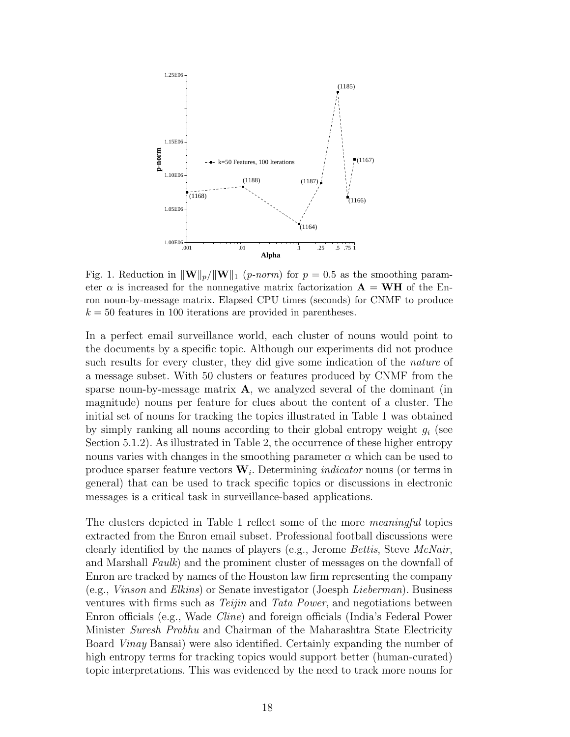

Fig. 1. Reduction in  $\|\mathbf{W}\|_p/\|\mathbf{W}\|_1$  (p-norm) for  $p = 0.5$  as the smoothing parameter  $\alpha$  is increased for the nonnegative matrix factorization  $\mathbf{A} = \mathbf{WH}$  of the Enron noun-by-message matrix. Elapsed CPU times (seconds) for CNMF to produce  $k = 50$  features in 100 iterations are provided in parentheses.

In a perfect email surveillance world, each cluster of nouns would point to the documents by a specific topic. Although our experiments did not produce such results for every cluster, they did give some indication of the nature of a message subset. With 50 clusters or features produced by CNMF from the sparse noun-by-message matrix  $\bf{A}$ , we analyzed several of the dominant (in magnitude) nouns per feature for clues about the content of a cluster. The initial set of nouns for tracking the topics illustrated in Table 1 was obtained by simply ranking all nouns according to their global entropy weight  $g_i$  (see Section 5.1.2). As illustrated in Table 2, the occurrence of these higher entropy nouns varies with changes in the smoothing parameter  $\alpha$  which can be used to produce sparser feature vectors  $\mathbf{W}_i$ . Determining *indicator* nouns (or terms in general) that can be used to track specific topics or discussions in electronic messages is a critical task in surveillance-based applications.

The clusters depicted in Table 1 reflect some of the more meaningful topics extracted from the Enron email subset. Professional football discussions were clearly identified by the names of players (e.g., Jerome Bettis, Steve McNair, and Marshall Faulk) and the prominent cluster of messages on the downfall of Enron are tracked by names of the Houston law firm representing the company (e.g., Vinson and Elkins) or Senate investigator (Joesph Lieberman). Business ventures with firms such as *Teijin* and *Tata Power*, and negotiations between Enron officials (e.g., Wade Cline) and foreign officials (India's Federal Power Minister Suresh Prabhu and Chairman of the Maharashtra State Electricity Board Vinay Bansai) were also identified. Certainly expanding the number of high entropy terms for tracking topics would support better (human-curated) topic interpretations. This was evidenced by the need to track more nouns for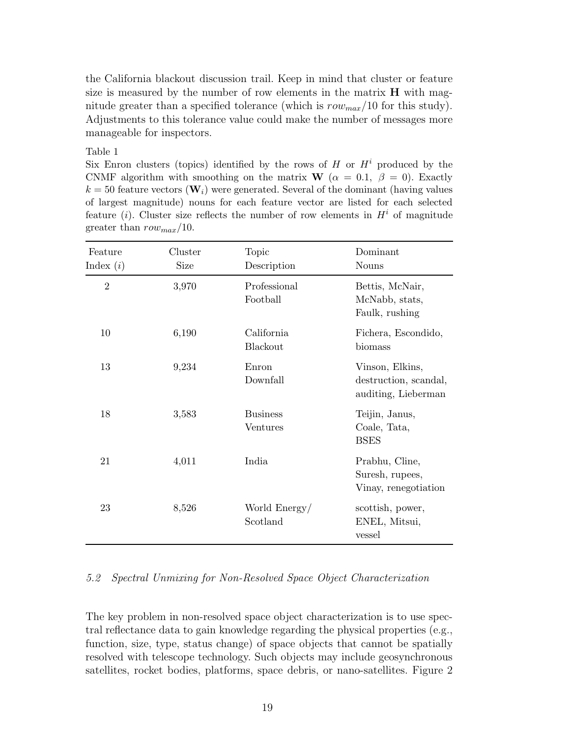the California blackout discussion trail. Keep in mind that cluster or feature size is measured by the number of row elements in the matrix  $\bf{H}$  with magnitude greater than a specified tolerance (which is  $row_{max}/10$  for this study). Adjustments to this tolerance value could make the number of messages more manageable for inspectors.

#### Table 1

Six Enron clusters (topics) identified by the rows of H or  $H^i$  produced by the CNMF algorithm with smoothing on the matrix  $\mathbf{W}$  ( $\alpha = 0.1, \beta = 0$ ). Exactly  $k = 50$  feature vectors  $(\mathbf{W}_i)$  were generated. Several of the dominant (having values of largest magnitude) nouns for each feature vector are listed for each selected feature (i). Cluster size reflects the number of row elements in  $H<sup>i</sup>$  of magnitude greater than  $row_{max}/10$ .

| Feature<br>Index $(i)$ | Cluster<br>Size | Topic<br>Description        | Dominant<br><b>Nouns</b>                                        |
|------------------------|-----------------|-----------------------------|-----------------------------------------------------------------|
| $\overline{2}$         | 3,970           | Professional<br>Football    | Bettis, McNair,<br>McNabb, stats,<br>Faulk, rushing             |
| 10                     | 6,190           | California<br>Blackout      | Fichera, Escondido,<br>biomass                                  |
| 13                     | 9,234           | Enron<br>Downfall           | Vinson, Elkins,<br>destruction, scandal,<br>auditing, Lieberman |
| 18                     | 3,583           | <b>Business</b><br>Ventures | Teijin, Janus,<br>Coale, Tata,<br><b>BSES</b>                   |
| 21                     | 4,011           | India                       | Prabhu, Cline,<br>Suresh, rupees,<br>Vinay, renegotiation       |
| 23                     | 8,526           | World Energy/<br>Scotland   | scottish, power,<br>ENEL, Mitsui,<br>vessel                     |

# 5.2 Spectral Unmixing for Non-Resolved Space Object Characterization

The key problem in non-resolved space object characterization is to use spectral reflectance data to gain knowledge regarding the physical properties (e.g., function, size, type, status change) of space objects that cannot be spatially resolved with telescope technology. Such objects may include geosynchronous satellites, rocket bodies, platforms, space debris, or nano-satellites. Figure 2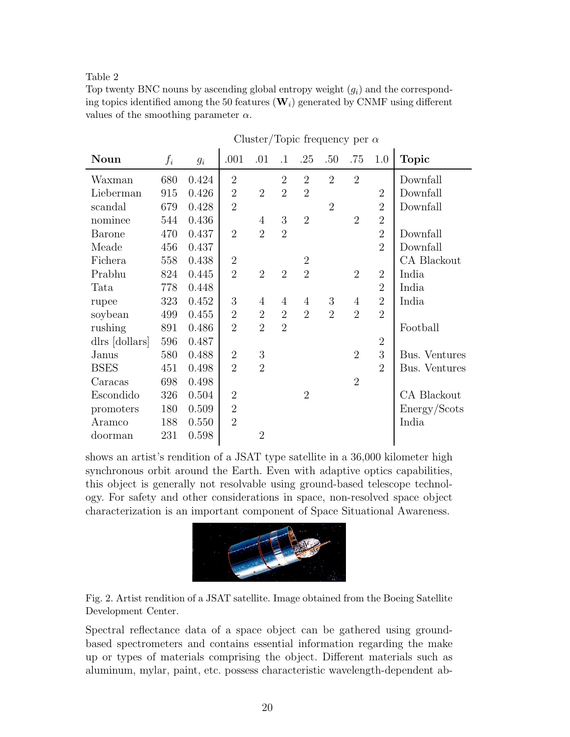## Table 2

Top twenty BNC nouns by ascending global entropy weight  $(q_i)$  and the corresponding topics identified among the 50 features  $(\mathbf{W}_i)$  generated by CNMF using different values of the smoothing parameter  $\alpha$ .

| Noun           | $f_i$ | $g_i$ | .001           | .01            | $\cdot$ 1      | .25            | .50            | .75            | 1.0            | Topic                |
|----------------|-------|-------|----------------|----------------|----------------|----------------|----------------|----------------|----------------|----------------------|
| Waxman         | 680   | 0.424 | $\overline{2}$ |                | $\overline{2}$ | $\overline{2}$ | $\overline{2}$ | $\overline{2}$ |                | Downfall             |
| Lieberman      | 915   | 0.426 | $\overline{2}$ | $\overline{2}$ | $\overline{2}$ | $\overline{2}$ |                |                | $\overline{2}$ | Downfall             |
| scandal        | 679   | 0.428 | $\overline{2}$ |                |                |                | $\overline{2}$ |                | $\overline{2}$ | Downfall             |
| nominee        | 544   | 0.436 |                | 4              | 3              | $\overline{2}$ |                | $\overline{2}$ | $\overline{2}$ |                      |
| Barone         | 470   | 0.437 | $\overline{2}$ | $\overline{2}$ | $\overline{2}$ |                |                |                | $\overline{2}$ | Downfall             |
| Meade          | 456   | 0.437 |                |                |                |                |                |                | $\overline{2}$ | Downfall             |
| Fichera        | 558   | 0.438 | $\overline{2}$ |                |                | $\overline{2}$ |                |                |                | CA Blackout          |
| Prabhu         | 824   | 0.445 | $\overline{2}$ | $\overline{2}$ | $\overline{2}$ | $\overline{2}$ |                | $\overline{2}$ | $\overline{2}$ | India                |
| Tata           | 778   | 0.448 |                |                |                |                |                |                | $\overline{2}$ | India                |
| rupee          | 323   | 0.452 | 3              | 4              | $\overline{4}$ | $\overline{4}$ | 3              | 4              | $\overline{2}$ | India                |
| soybean        | 499   | 0.455 | $\overline{2}$ | $\overline{2}$ | $\overline{2}$ | $\overline{2}$ | $\overline{2}$ | $\overline{2}$ | $\overline{2}$ |                      |
| rushing        | 891   | 0.486 | $\overline{2}$ | $\overline{2}$ | $\overline{2}$ |                |                |                |                | Football             |
| dlrs [dollars] | 596   | 0.487 |                |                |                |                |                |                | $\overline{2}$ |                      |
| Janus          | 580   | 0.488 | $\overline{2}$ | 3              |                |                |                | $\overline{2}$ | 3              | <b>Bus.</b> Ventures |
| <b>BSES</b>    | 451   | 0.498 | $\overline{2}$ | $\overline{2}$ |                |                |                |                | $\overline{2}$ | Bus. Ventures        |
| Caracas        | 698   | 0.498 |                |                |                |                |                | $\overline{2}$ |                |                      |
| Escondido      | 326   | 0.504 | $\overline{2}$ |                |                | $\overline{2}$ |                |                |                | CA Blackout          |
| promoters      | 180   | 0.509 | $\overline{2}$ |                |                |                |                |                |                | Energy/Scots         |
| Aramco         | 188   | 0.550 | $\overline{2}$ |                |                |                |                |                |                | India                |
| doorman        | 231   | 0.598 |                | $\overline{2}$ |                |                |                |                |                |                      |

Cluster/Topic frequency per  $\alpha$ 

shows an artist's rendition of a JSAT type satellite in a 36,000 kilometer high synchronous orbit around the Earth. Even with adaptive optics capabilities, this object is generally not resolvable using ground-based telescope technology. For safety and other considerations in space, non-resolved space object characterization is an important component of Space Situational Awareness.





Spectral reflectance data of a space object can be gathered using groundbased spectrometers and contains essential information regarding the make up or types of materials comprising the object. Different materials such as aluminum, mylar, paint, etc. possess characteristic wavelength-dependent ab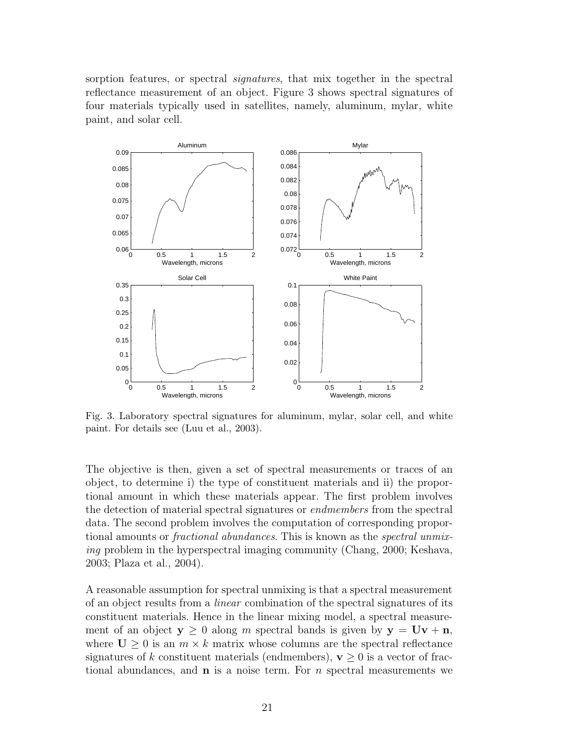sorption features, or spectral *signatures*, that mix together in the spectral reflectance measurement of an object. Figure 3 shows spectral signatures of four materials typically used in satellites, namely, aluminum, mylar, white paint, and solar cell.



Fig. 3. Laboratory spectral signatures for aluminum, mylar, solar cell, and white paint. For details see (Luu et al., 2003).

The objective is then, given a set of spectral measurements or traces of an object, to determine i) the type of constituent materials and ii) the proportional amount in which these materials appear. The first problem involves the detection of material spectral signatures or endmembers from the spectral data. The second problem involves the computation of corresponding proportional amounts or fractional abundances. This is known as the spectral unmixing problem in the hyperspectral imaging community (Chang, 2000; Keshava, 2003; Plaza et al., 2004).

A reasonable assumption for spectral unmixing is that a spectral measurement of an object results from a linear combination of the spectral signatures of its constituent materials. Hence in the linear mixing model, a spectral measurement of an object  $y \ge 0$  along m spectral bands is given by  $y = Uv + n$ , where  $U \geq 0$  is an  $m \times k$  matrix whose columns are the spectral reflectance signatures of k constituent materials (endmembers),  $\mathbf{v} \geq 0$  is a vector of fractional abundances, and  $\bf{n}$  is a noise term. For n spectral measurements we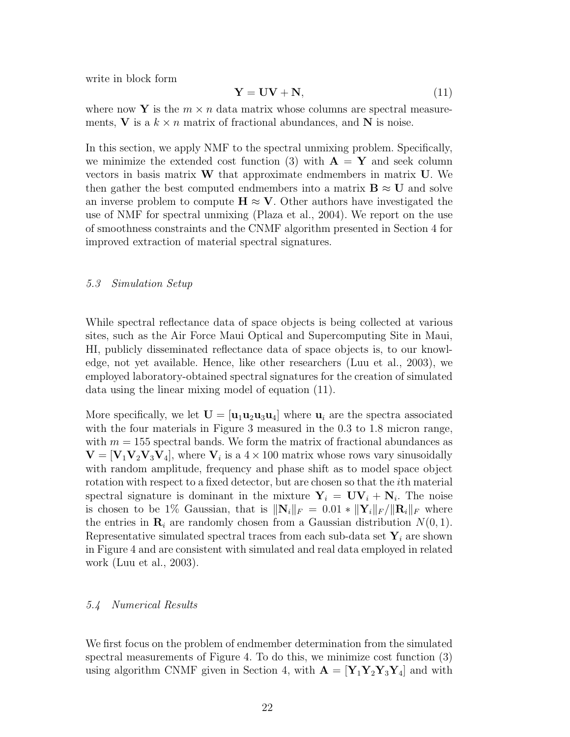write in block form

$$
Y = UV + N, \tag{11}
$$

where now Y is the  $m \times n$  data matrix whose columns are spectral measurements, **V** is a  $k \times n$  matrix of fractional abundances, and **N** is noise.

In this section, we apply NMF to the spectral unmixing problem. Specifically, we minimize the extended cost function (3) with  $\mathbf{A} = \mathbf{Y}$  and seek column vectors in basis matrix  $\bf{W}$  that approximate endmembers in matrix  $\bf{U}$ . We then gather the best computed endmembers into a matrix  $B \approx U$  and solve an inverse problem to compute  $H \approx V$ . Other authors have investigated the use of NMF for spectral unmixing (Plaza et al., 2004). We report on the use of smoothness constraints and the CNMF algorithm presented in Section 4 for improved extraction of material spectral signatures.

#### 5.3 Simulation Setup

While spectral reflectance data of space objects is being collected at various sites, such as the Air Force Maui Optical and Supercomputing Site in Maui, HI, publicly disseminated reflectance data of space objects is, to our knowledge, not yet available. Hence, like other researchers (Luu et al., 2003), we employed laboratory-obtained spectral signatures for the creation of simulated data using the linear mixing model of equation (11).

More specifically, we let  $\mathbf{U} = [\mathbf{u}_1 \mathbf{u}_2 \mathbf{u}_3 \mathbf{u}_4]$  where  $\mathbf{u}_i$  are the spectra associated with the four materials in Figure 3 measured in the 0.3 to 1.8 micron range, with  $m = 155$  spectral bands. We form the matrix of fractional abundances as  $\mathbf{V} = [\mathbf{V}_1 \mathbf{V}_2 \mathbf{V}_3 \mathbf{V}_4]$ , where  $\mathbf{V}_i$  is a  $4 \times 100$  matrix whose rows vary sinusoidally with random amplitude, frequency and phase shift as to model space object rotation with respect to a fixed detector, but are chosen so that the *i*th material spectral signature is dominant in the mixture  $Y_i = UV_i + N_i$ . The noise is chosen to be 1% Gaussian, that is  $\|\mathbf{N}_i\|_F = 0.01 * \|\mathbf{Y}_i\|_F / \|\mathbf{R}_i\|_F$  where the entries in  $\mathbf{R}_i$  are randomly chosen from a Gaussian distribution  $N(0, 1)$ . Representative simulated spectral traces from each sub-data set  $Y_i$  are shown in Figure 4 and are consistent with simulated and real data employed in related work (Luu et al., 2003).

#### 5.4 Numerical Results

We first focus on the problem of endmember determination from the simulated spectral measurements of Figure 4. To do this, we minimize cost function (3) using algorithm CNMF given in Section 4, with  $\mathbf{A} = [\mathbf{Y}_1 \mathbf{Y}_2 \mathbf{Y}_3 \mathbf{Y}_4]$  and with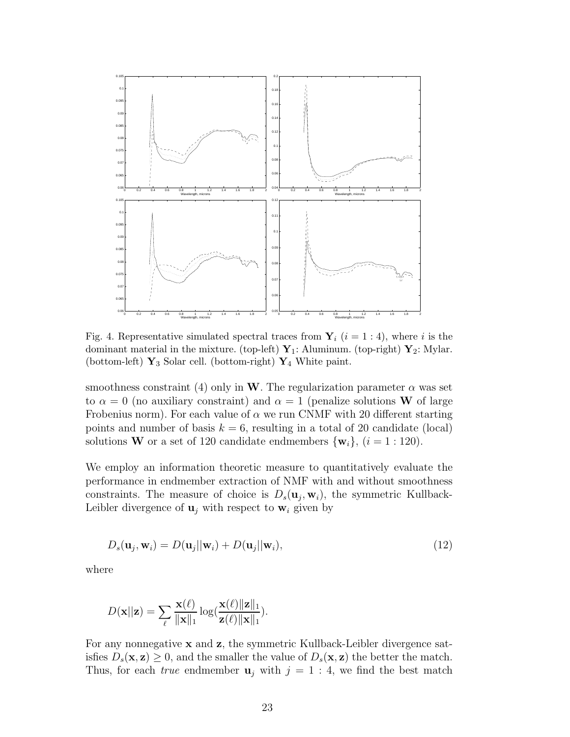

Fig. 4. Representative simulated spectral traces from  $Y_i$   $(i = 1 : 4)$ , where i is the dominant material in the mixture. (top-left)  $Y_1$ : Aluminum. (top-right)  $Y_2$ : Mylar. (bottom-left)  $\mathbf{Y}_3$  Solar cell. (bottom-right)  $\mathbf{Y}_4$  White paint.

smoothness constraint (4) only in W. The regularization parameter  $\alpha$  was set to  $\alpha = 0$  (no auxiliary constraint) and  $\alpha = 1$  (penalize solutions **W** of large Frobenius norm). For each value of  $\alpha$  we run CNMF with 20 different starting points and number of basis  $k = 6$ , resulting in a total of 20 candidate (local) solutions **W** or a set of 120 candidate endmembers  $\{\mathbf{w}_i\}, (i = 1 : 120)$ .

We employ an information theoretic measure to quantitatively evaluate the performance in endmember extraction of NMF with and without smoothness constraints. The measure of choice is  $D_s(\mathbf{u}_j, \mathbf{w}_i)$ , the symmetric Kullback-Leibler divergence of  $\mathbf{u}_j$  with respect to  $\mathbf{w}_i$  given by

$$
D_s(\mathbf{u}_j, \mathbf{w}_i) = D(\mathbf{u}_j || \mathbf{w}_i) + D(\mathbf{u}_j || \mathbf{w}_i),
$$
\n(12)

where

$$
D(\mathbf{x}||\mathbf{z}) = \sum_{\ell} \frac{\mathbf{x}(\ell)}{\|\mathbf{x}\|_1} \log(\frac{\mathbf{x}(\ell) \|\mathbf{z}\|_1}{\mathbf{z}(\ell) \|\mathbf{x}\|_1}).
$$

For any nonnegative **x** and **z**, the symmetric Kullback-Leibler divergence satisfies  $D_s(\mathbf{x}, \mathbf{z}) \geq 0$ , and the smaller the value of  $D_s(\mathbf{x}, \mathbf{z})$  the better the match. Thus, for each *true* endmember  $\mathbf{u}_j$  with  $j = 1 : 4$ , we find the best match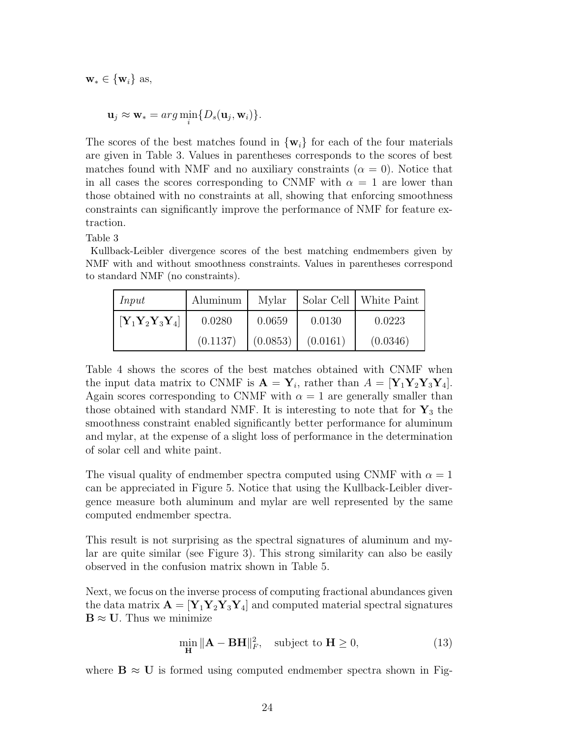$\mathbf{w}_* \in \{\mathbf{w}_i\}$  as,

$$
\mathbf{u}_j \approx \mathbf{w}_* = arg\min_i \{D_s(\mathbf{u}_j, \mathbf{w}_i)\}.
$$

The scores of the best matches found in  $\{w_i\}$  for each of the four materials are given in Table 3. Values in parentheses corresponds to the scores of best matches found with NMF and no auxiliary constraints ( $\alpha = 0$ ). Notice that in all cases the scores corresponding to CNMF with  $\alpha = 1$  are lower than those obtained with no constraints at all, showing that enforcing smoothness constraints can significantly improve the performance of NMF for feature extraction.

Table 3

Kullback-Leibler divergence scores of the best matching endmembers given by NMF with and without smoothness constraints. Values in parentheses correspond to standard NMF (no constraints).

| Input            | Aluminum | Mylar    |          | Solar Cell   White Paint |
|------------------|----------|----------|----------|--------------------------|
| $[Y_1Y_2Y_3Y_4]$ | 0.0280   | 0.0659   | 0.0130   | 0.0223                   |
|                  | (0.1137) | (0.0853) | (0.0161) | (0.0346)                 |

Table 4 shows the scores of the best matches obtained with CNMF when the input data matrix to CNMF is  $\mathbf{A} = \mathbf{Y}_i$ , rather than  $A = [\mathbf{Y}_1 \mathbf{Y}_2 \mathbf{Y}_3 \mathbf{Y}_4]$ . Again scores corresponding to CNMF with  $\alpha = 1$  are generally smaller than those obtained with standard NMF. It is interesting to note that for  $\mathbf{Y}_3$  the smoothness constraint enabled significantly better performance for aluminum and mylar, at the expense of a slight loss of performance in the determination of solar cell and white paint.

The visual quality of endmember spectra computed using CNMF with  $\alpha = 1$ can be appreciated in Figure 5. Notice that using the Kullback-Leibler divergence measure both aluminum and mylar are well represented by the same computed endmember spectra.

This result is not surprising as the spectral signatures of aluminum and mylar are quite similar (see Figure 3). This strong similarity can also be easily observed in the confusion matrix shown in Table 5.

Next, we focus on the inverse process of computing fractional abundances given the data matrix  $\mathbf{A} = [\mathbf{Y}_1 \mathbf{Y}_2 \mathbf{Y}_3 \mathbf{Y}_4]$  and computed material spectral signatures  $B \approx U$ . Thus we minimize

$$
\min_{\mathbf{H}} \|\mathbf{A} - \mathbf{B}\mathbf{H}\|_{F}^{2}, \quad \text{subject to } \mathbf{H} \ge 0,
$$
\n(13)

where  $B \approx U$  is formed using computed endmember spectra shown in Fig-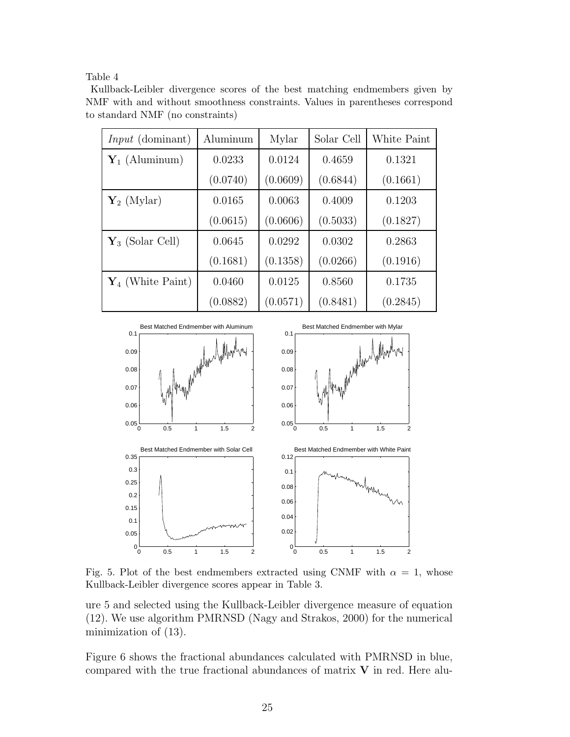Table 4

Kullback-Leibler divergence scores of the best matching endmembers given by NMF with and without smoothness constraints. Values in parentheses correspond to standard NMF (no constraints)

| <i>Input</i> (dominant)      | Aluminum | Mylar    | Solar Cell | White Paint |
|------------------------------|----------|----------|------------|-------------|
| $\mathbf{Y}_1$ (Aluminum)    | 0.0233   | 0.0124   | 0.4659     | 0.1321      |
|                              | (0.0740) | (0.0609) | (0.6844)   | (0.1661)    |
| $\mathbf{Y}_2$ (Mylar)       | 0.0165   | 0.0063   | 0.4009     | 0.1203      |
|                              | (0.0615) | (0.0606) | (0.5033)   | (0.1827)    |
| $\mathbf{Y}_3$ (Solar Cell)  | 0.0645   | 0.0292   | 0.0302     | 0.2863      |
|                              | (0.1681) | (0.1358) | (0.0266)   | (0.1916)    |
| $\mathbf{Y}_4$ (White Paint) | 0.0460   | 0.0125   | 0.8560     | 0.1735      |
|                              | (0.0882) | (0.0571) | (0.8481)   | (0.2845)    |



Fig. 5. Plot of the best endmembers extracted using CNMF with  $\alpha = 1$ , whose Kullback-Leibler divergence scores appear in Table 3.

ure 5 and selected using the Kullback-Leibler divergence measure of equation (12). We use algorithm PMRNSD (Nagy and Strakos, 2000) for the numerical minimization of (13).

Figure 6 shows the fractional abundances calculated with PMRNSD in blue, compared with the true fractional abundances of matrix  $V$  in red. Here alu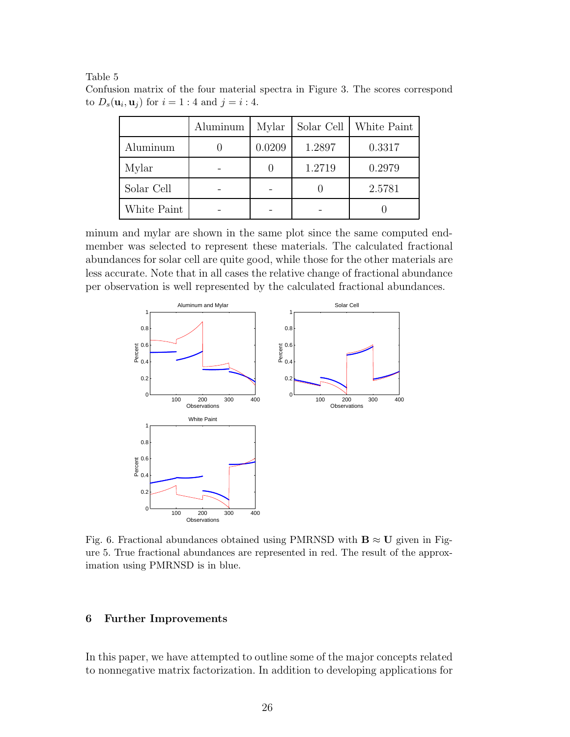Table 5

|                                                                    |  |  |  | Confusion matrix of the four material spectra in Figure 3. The scores correspond |  |
|--------------------------------------------------------------------|--|--|--|----------------------------------------------------------------------------------|--|
| to $D_s(\mathbf{u}_i, \mathbf{u}_j)$ for $i = 1:4$ and $j = i:4$ . |  |  |  |                                                                                  |  |

|             | Aluminum | Mylar  |        | Solar Cell   White Paint |
|-------------|----------|--------|--------|--------------------------|
| Aluminum    |          | 0.0209 | 1.2897 | 0.3317                   |
| Mylar       |          |        | 1.2719 | 0.2979                   |
| Solar Cell  |          |        |        | 2.5781                   |
| White Paint |          |        |        |                          |

minum and mylar are shown in the same plot since the same computed endmember was selected to represent these materials. The calculated fractional abundances for solar cell are quite good, while those for the other materials are less accurate. Note that in all cases the relative change of fractional abundance per observation is well represented by the calculated fractional abundances.



Fig. 6. Fractional abundances obtained using PMRNSD with  $B \approx U$  given in Figure 5. True fractional abundances are represented in red. The result of the approximation using PMRNSD is in blue.

## 6 Further Improvements

In this paper, we have attempted to outline some of the major concepts related to nonnegative matrix factorization. In addition to developing applications for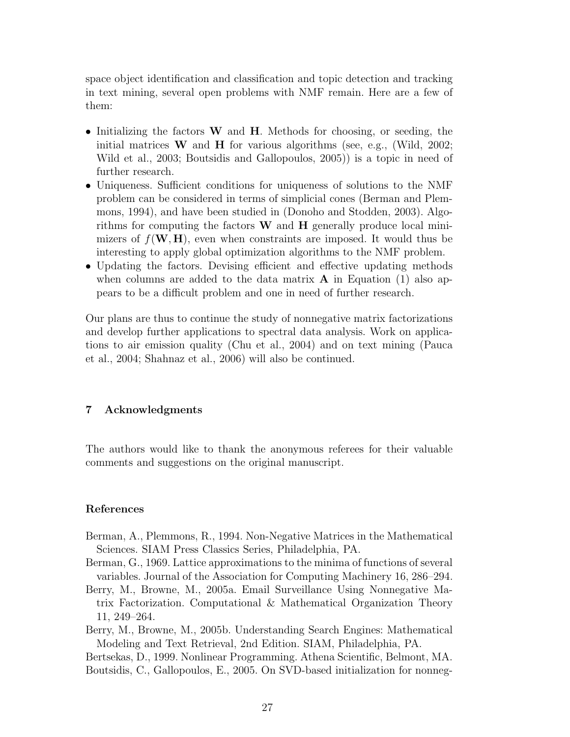space object identification and classification and topic detection and tracking in text mining, several open problems with NMF remain. Here are a few of them:

- Initializing the factors  $W$  and  $H$ . Methods for choosing, or seeding, the initial matrices **W** and **H** for various algorithms (see, e.g., (Wild, 2002; Wild et al., 2003; Boutsidis and Gallopoulos, 2005)) is a topic in need of further research.
- Uniqueness. Sufficient conditions for uniqueness of solutions to the NMF problem can be considered in terms of simplicial cones (Berman and Plemmons, 1994), and have been studied in (Donoho and Stodden, 2003). Algorithms for computing the factors  $\bf{W}$  and  $\bf{H}$  generally produce local minimizers of  $f(\mathbf{W}, \mathbf{H})$ , even when constraints are imposed. It would thus be interesting to apply global optimization algorithms to the NMF problem.
- Updating the factors. Devising efficient and effective updating methods when columns are added to the data matrix  $\bf{A}$  in Equation (1) also appears to be a difficult problem and one in need of further research.

Our plans are thus to continue the study of nonnegative matrix factorizations and develop further applications to spectral data analysis. Work on applications to air emission quality (Chu et al., 2004) and on text mining (Pauca et al., 2004; Shahnaz et al., 2006) will also be continued.

### 7 Acknowledgments

The authors would like to thank the anonymous referees for their valuable comments and suggestions on the original manuscript.

#### References

- Berman, A., Plemmons, R., 1994. Non-Negative Matrices in the Mathematical Sciences. SIAM Press Classics Series, Philadelphia, PA.
- Berman, G., 1969. Lattice approximations to the minima of functions of several variables. Journal of the Association for Computing Machinery 16, 286–294.
- Berry, M., Browne, M., 2005a. Email Surveillance Using Nonnegative Matrix Factorization. Computational & Mathematical Organization Theory 11, 249–264.
- Berry, M., Browne, M., 2005b. Understanding Search Engines: Mathematical Modeling and Text Retrieval, 2nd Edition. SIAM, Philadelphia, PA.

Bertsekas, D., 1999. Nonlinear Programming. Athena Scientific, Belmont, MA. Boutsidis, C., Gallopoulos, E., 2005. On SVD-based initialization for nonneg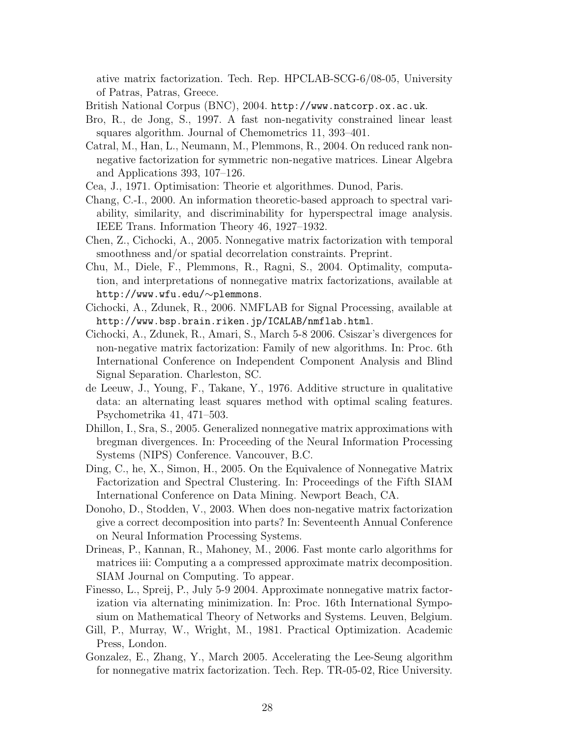ative matrix factorization. Tech. Rep. HPCLAB-SCG-6/08-05, University of Patras, Patras, Greece.

British National Corpus (BNC), 2004. http://www.natcorp.ox.ac.uk.

- Bro, R., de Jong, S., 1997. A fast non-negativity constrained linear least squares algorithm. Journal of Chemometrics 11, 393–401.
- Catral, M., Han, L., Neumann, M., Plemmons, R., 2004. On reduced rank nonnegative factorization for symmetric non-negative matrices. Linear Algebra and Applications 393, 107–126.
- Cea, J., 1971. Optimisation: Theorie et algorithmes. Dunod, Paris.
- Chang, C.-I., 2000. An information theoretic-based approach to spectral variability, similarity, and discriminability for hyperspectral image analysis. IEEE Trans. Information Theory 46, 1927–1932.
- Chen, Z., Cichocki, A., 2005. Nonnegative matrix factorization with temporal smoothness and/or spatial decorrelation constraints. Preprint.
- Chu, M., Diele, F., Plemmons, R., Ragni, S., 2004. Optimality, computation, and interpretations of nonnegative matrix factorizations, available at http://www.wfu.edu/∼plemmons.
- Cichocki, A., Zdunek, R., 2006. NMFLAB for Signal Processing, available at http://www.bsp.brain.riken.jp/ICALAB/nmflab.html.
- Cichocki, A., Zdunek, R., Amari, S., March 5-8 2006. Csiszar's divergences for non-negative matrix factorization: Family of new algorithms. In: Proc. 6th International Conference on Independent Component Analysis and Blind Signal Separation. Charleston, SC.
- de Leeuw, J., Young, F., Takane, Y., 1976. Additive structure in qualitative data: an alternating least squares method with optimal scaling features. Psychometrika 41, 471–503.
- Dhillon, I., Sra, S., 2005. Generalized nonnegative matrix approximations with bregman divergences. In: Proceeding of the Neural Information Processing Systems (NIPS) Conference. Vancouver, B.C.
- Ding, C., he, X., Simon, H., 2005. On the Equivalence of Nonnegative Matrix Factorization and Spectral Clustering. In: Proceedings of the Fifth SIAM International Conference on Data Mining. Newport Beach, CA.
- Donoho, D., Stodden, V., 2003. When does non-negative matrix factorization give a correct decomposition into parts? In: Seventeenth Annual Conference on Neural Information Processing Systems.
- Drineas, P., Kannan, R., Mahoney, M., 2006. Fast monte carlo algorithms for matrices iii: Computing a a compressed approximate matrix decomposition. SIAM Journal on Computing. To appear.
- Finesso, L., Spreij, P., July 5-9 2004. Approximate nonnegative matrix factorization via alternating minimization. In: Proc. 16th International Symposium on Mathematical Theory of Networks and Systems. Leuven, Belgium.
- Gill, P., Murray, W., Wright, M., 1981. Practical Optimization. Academic Press, London.
- Gonzalez, E., Zhang, Y., March 2005. Accelerating the Lee-Seung algorithm for nonnegative matrix factorization. Tech. Rep. TR-05-02, Rice University.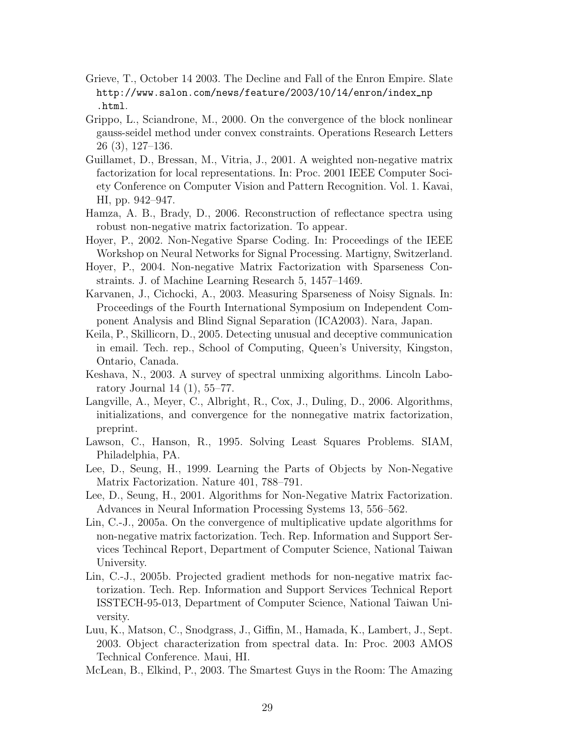- Grieve, T., October 14 2003. The Decline and Fall of the Enron Empire. Slate http://www.salon.com/news/feature/2003/10/14/enron/index np .html.
- Grippo, L., Sciandrone, M., 2000. On the convergence of the block nonlinear gauss-seidel method under convex constraints. Operations Research Letters 26 (3), 127–136.
- Guillamet, D., Bressan, M., Vitria, J., 2001. A weighted non-negative matrix factorization for local representations. In: Proc. 2001 IEEE Computer Society Conference on Computer Vision and Pattern Recognition. Vol. 1. Kavai, HI, pp. 942–947.
- Hamza, A. B., Brady, D., 2006. Reconstruction of reflectance spectra using robust non-negative matrix factorization. To appear.
- Hoyer, P., 2002. Non-Negative Sparse Coding. In: Proceedings of the IEEE Workshop on Neural Networks for Signal Processing. Martigny, Switzerland.
- Hoyer, P., 2004. Non-negative Matrix Factorization with Sparseness Constraints. J. of Machine Learning Research 5, 1457–1469.
- Karvanen, J., Cichocki, A., 2003. Measuring Sparseness of Noisy Signals. In: Proceedings of the Fourth International Symposium on Independent Component Analysis and Blind Signal Separation (ICA2003). Nara, Japan.
- Keila, P., Skillicorn, D., 2005. Detecting unusual and deceptive communication in email. Tech. rep., School of Computing, Queen's University, Kingston, Ontario, Canada.
- Keshava, N., 2003. A survey of spectral unmixing algorithms. Lincoln Laboratory Journal 14 (1), 55–77.
- Langville, A., Meyer, C., Albright, R., Cox, J., Duling, D., 2006. Algorithms, initializations, and convergence for the nonnegative matrix factorization, preprint.
- Lawson, C., Hanson, R., 1995. Solving Least Squares Problems. SIAM, Philadelphia, PA.
- Lee, D., Seung, H., 1999. Learning the Parts of Objects by Non-Negative Matrix Factorization. Nature 401, 788–791.
- Lee, D., Seung, H., 2001. Algorithms for Non-Negative Matrix Factorization. Advances in Neural Information Processing Systems 13, 556–562.
- Lin, C.-J., 2005a. On the convergence of multiplicative update algorithms for non-negative matrix factorization. Tech. Rep. Information and Support Services Techincal Report, Department of Computer Science, National Taiwan University.
- Lin, C.-J., 2005b. Projected gradient methods for non-negative matrix factorization. Tech. Rep. Information and Support Services Technical Report ISSTECH-95-013, Department of Computer Science, National Taiwan University.
- Luu, K., Matson, C., Snodgrass, J., Giffin, M., Hamada, K., Lambert, J., Sept. 2003. Object characterization from spectral data. In: Proc. 2003 AMOS Technical Conference. Maui, HI.
- McLean, B., Elkind, P., 2003. The Smartest Guys in the Room: The Amazing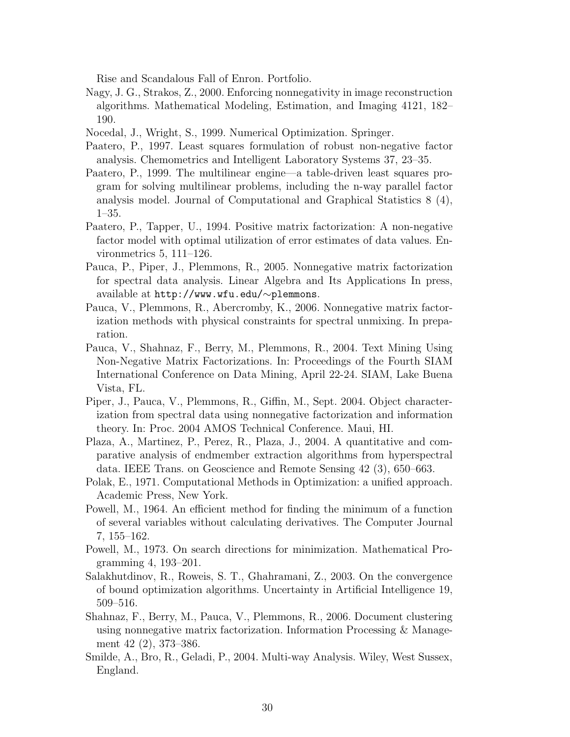Rise and Scandalous Fall of Enron. Portfolio.

- Nagy, J. G., Strakos, Z., 2000. Enforcing nonnegativity in image reconstruction algorithms. Mathematical Modeling, Estimation, and Imaging 4121, 182– 190.
- Nocedal, J., Wright, S., 1999. Numerical Optimization. Springer.
- Paatero, P., 1997. Least squares formulation of robust non-negative factor analysis. Chemometrics and Intelligent Laboratory Systems 37, 23–35.
- Paatero, P., 1999. The multilinear engine—a table-driven least squares program for solving multilinear problems, including the n-way parallel factor analysis model. Journal of Computational and Graphical Statistics 8 (4), 1–35.
- Paatero, P., Tapper, U., 1994. Positive matrix factorization: A non-negative factor model with optimal utilization of error estimates of data values. Environmetrics 5, 111–126.
- Pauca, P., Piper, J., Plemmons, R., 2005. Nonnegative matrix factorization for spectral data analysis. Linear Algebra and Its Applications In press, available at http://www.wfu.edu/∼plemmons.
- Pauca, V., Plemmons, R., Abercromby, K., 2006. Nonnegative matrix factorization methods with physical constraints for spectral unmixing. In preparation.
- Pauca, V., Shahnaz, F., Berry, M., Plemmons, R., 2004. Text Mining Using Non-Negative Matrix Factorizations. In: Proceedings of the Fourth SIAM International Conference on Data Mining, April 22-24. SIAM, Lake Buena Vista, FL.
- Piper, J., Pauca, V., Plemmons, R., Giffin, M., Sept. 2004. Object characterization from spectral data using nonnegative factorization and information theory. In: Proc. 2004 AMOS Technical Conference. Maui, HI.
- Plaza, A., Martinez, P., Perez, R., Plaza, J., 2004. A quantitative and comparative analysis of endmember extraction algorithms from hyperspectral data. IEEE Trans. on Geoscience and Remote Sensing 42 (3), 650–663.
- Polak, E., 1971. Computational Methods in Optimization: a unified approach. Academic Press, New York.
- Powell, M., 1964. An efficient method for finding the minimum of a function of several variables without calculating derivatives. The Computer Journal 7, 155–162.
- Powell, M., 1973. On search directions for minimization. Mathematical Programming 4, 193–201.
- Salakhutdinov, R., Roweis, S. T., Ghahramani, Z., 2003. On the convergence of bound optimization algorithms. Uncertainty in Artificial Intelligence 19, 509–516.
- Shahnaz, F., Berry, M., Pauca, V., Plemmons, R., 2006. Document clustering using nonnegative matrix factorization. Information Processing & Management 42 (2), 373–386.
- Smilde, A., Bro, R., Geladi, P., 2004. Multi-way Analysis. Wiley, West Sussex, England.